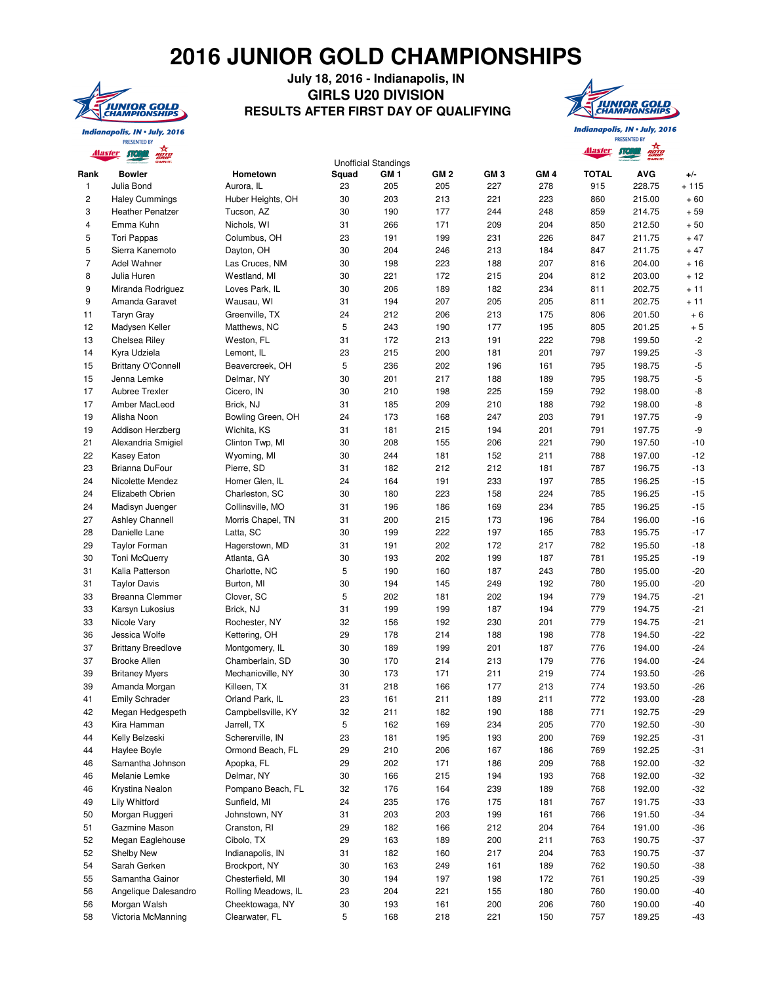## **2016 JUNIOR GOLD CHAMPIONSHIPS**



## **July 18, 2016 - Indianapolis, IN GIRLS U20 DIVISION RESULTS AFTER FIRST DAY OF QUALIFYING**



Indianapolis, IN . July, 2016 PRESENTED BY

Indianapolis, IN . July, 2016 PRESENTED BY

|                | <u>Alaster</u><br>лег     |                     |       |                                                |                 |                 |                 | <u>Alaster</u> | <b>ROTO</b><br>GRIP<br>OWN IT. |        |
|----------------|---------------------------|---------------------|-------|------------------------------------------------|-----------------|-----------------|-----------------|----------------|--------------------------------|--------|
| Rank           | <b>Bowler</b>             | Hometown            | Squad | <b>Unofficial Standings</b><br>GM <sub>1</sub> | GM <sub>2</sub> | GM <sub>3</sub> | GM <sub>4</sub> | <b>TOTAL</b>   | <b>AVG</b>                     | $+/-$  |
| 1              | Julia Bond                | Aurora, IL          | 23    | 205                                            | 205             | 227             | 278             | 915            | 228.75                         | $+115$ |
| 2              | <b>Haley Cummings</b>     | Huber Heights, OH   | 30    | 203                                            | 213             | 221             | 223             | 860            | 215.00                         | $+60$  |
| 3              | <b>Heather Penatzer</b>   | Tucson, AZ          | 30    | 190                                            | 177             | 244             | 248             | 859            | 214.75                         | $+59$  |
| 4              | Emma Kuhn                 | Nichols, WI         | 31    | 266                                            | 171             | 209             | 204             | 850            | 212.50                         | $+50$  |
| 5              | <b>Tori Pappas</b>        | Columbus, OH        | 23    | 191                                            | 199             | 231             | 226             | 847            | 211.75                         | $+47$  |
| 5              | Sierra Kanemoto           | Dayton, OH          | 30    | 204                                            | 246             | 213             | 184             | 847            | 211.75                         | $+47$  |
| $\overline{7}$ | Adel Wahner               | Las Cruces, NM      | 30    | 198                                            | 223             | 188             | 207             | 816            | 204.00                         | $+16$  |
| 8              | Julia Huren               | Westland, MI        | 30    | 221                                            | 172             | 215             | 204             | 812            | 203.00                         | $+12$  |
| 9              | Miranda Rodriguez         | Loves Park, IL      | 30    | 206                                            | 189             | 182             | 234             | 811            | 202.75                         | $+11$  |
| 9              | Amanda Garavet            | Wausau, WI          | 31    | 194                                            | 207             | 205             | 205             | 811            | 202.75                         | $+11$  |
| 11             | <b>Taryn Gray</b>         | Greenville, TX      | 24    | 212                                            | 206             | 213             | 175             | 806            | 201.50                         | $+6$   |
| 12             | Madysen Keller            | Matthews, NC        | 5     | 243                                            | 190             | 177             | 195             | 805            | 201.25                         | $+5$   |
| 13             | Chelsea Riley             | Weston, FL          | 31    | 172                                            | 213             | 191             | 222             | 798            | 199.50                         | $-2$   |
| 14             | Kyra Udziela              | Lemont, IL          | 23    | 215                                            | 200             | 181             | 201             | 797            | 199.25                         | $-3$   |
| 15             | <b>Brittany O'Connell</b> | Beavercreek, OH     | 5     | 236                                            | 202             | 196             | 161             | 795            | 198.75                         | $-5$   |
| 15             | Jenna Lemke               | Delmar, NY          | 30    | 201                                            | 217             | 188             | 189             | 795            | 198.75                         | $-5$   |
| 17             | Aubree Trexler            | Cicero, IN          | 30    | 210                                            | 198             | 225             | 159             | 792            | 198.00                         | -8     |
| 17             | Amber MacLeod             | Brick, NJ           | 31    |                                                |                 | 210             |                 | 792            | 198.00                         |        |
|                |                           |                     |       | 185                                            | 209             |                 | 188             |                |                                | -8     |
| 19             | Alisha Noon               | Bowling Green, OH   | 24    | 173                                            | 168             | 247             | 203             | 791            | 197.75                         | -9     |
| 19             | Addison Herzberg          | Wichita, KS         | 31    | 181                                            | 215             | 194             | 201             | 791            | 197.75                         | -9     |
| 21             | Alexandria Smigiel        | Clinton Twp, MI     | 30    | 208                                            | 155             | 206             | 221             | 790            | 197.50                         | $-10$  |
| 22             | Kasey Eaton               | Wyoming, MI         | 30    | 244                                            | 181             | 152             | 211             | 788            | 197.00                         | $-12$  |
| 23             | Brianna DuFour            | Pierre, SD          | 31    | 182                                            | 212             | 212             | 181             | 787            | 196.75                         | $-13$  |
| 24             | Nicolette Mendez          | Homer Glen, IL      | 24    | 164                                            | 191             | 233             | 197             | 785            | 196.25                         | $-15$  |
| 24             | Elizabeth Obrien          | Charleston, SC      | 30    | 180                                            | 223             | 158             | 224             | 785            | 196.25                         | $-15$  |
| 24             | Madisyn Juenger           | Collinsville, MO    | 31    | 196                                            | 186             | 169             | 234             | 785            | 196.25                         | $-15$  |
| 27             | <b>Ashley Channell</b>    | Morris Chapel, TN   | 31    | 200                                            | 215             | 173             | 196             | 784            | 196.00                         | $-16$  |
| 28             | Danielle Lane             | Latta, SC           | 30    | 199                                            | 222             | 197             | 165             | 783            | 195.75                         | $-17$  |
| 29             | <b>Taylor Forman</b>      | Hagerstown, MD      | 31    | 191                                            | 202             | 172             | 217             | 782            | 195.50                         | $-18$  |
| 30             | <b>Toni McQuerry</b>      | Atlanta, GA         | 30    | 193                                            | 202             | 199             | 187             | 781            | 195.25                         | $-19$  |
| 31             | Kalia Patterson           | Charlotte, NC       | 5     | 190                                            | 160             | 187             | 243             | 780            | 195.00                         | $-20$  |
| 31             | <b>Taylor Davis</b>       | Burton, MI          | 30    | 194                                            | 145             | 249             | 192             | 780            | 195.00                         | $-20$  |
| 33             | Breanna Clemmer           | Clover, SC          | 5     | 202                                            | 181             | 202             | 194             | 779            | 194.75                         | $-21$  |
| 33             | Karsyn Lukosius           | Brick, NJ           | 31    | 199                                            | 199             | 187             | 194             | 779            | 194.75                         | $-21$  |
| 33             | Nicole Vary               | Rochester, NY       | 32    | 156                                            | 192             | 230             | 201             | 779            | 194.75                         | $-21$  |
| 36             | Jessica Wolfe             | Kettering, OH       | 29    | 178                                            | 214             | 188             | 198             | 778            | 194.50                         | $-22$  |
| 37             | <b>Brittany Breedlove</b> | Montgomery, IL      | 30    | 189                                            | 199             | 201             | 187             | 776            | 194.00                         | $-24$  |
| 37             | <b>Brooke Allen</b>       | Chamberlain, SD     | 30    | 170                                            | 214             | 213             | 179             | 776            | 194.00                         | $-24$  |
| 39             | <b>Britaney Myers</b>     | Mechanicville, NY   | 30    | 173                                            | 171             | 211             | 219             | 774            | 193.50                         | $-26$  |
| 39             | Amanda Morgan             | Killeen, TX         | 31    | 218                                            | 166             | 177             | 213             | 774            | 193.50                         | $-26$  |
| 41             | <b>Emily Schrader</b>     | Orland Park, IL     | 23    | 161                                            | 211             | 189             | 211             | 772            | 193.00                         | $-28$  |
| 42             | Megan Hedgespeth          | Campbellsville, KY  | 32    | 211                                            | 182             | 190             | 188             | 771            | 192.75                         | $-29$  |
| 43             | Kira Hamman               | Jarrell, TX         | 5     | 162                                            | 169             | 234             | 205             | 770            | 192.50                         | $-30$  |
| 44             | Kelly Belzeski            | Schererville, IN    | 23    | 181                                            | 195             | 193             | 200             | 769            | 192.25                         | $-31$  |
|                | Haylee Boyle              | Ormond Beach, FL    | 29    | 210                                            | 206             | 167             | 186             | 769            | 192.25                         | $-31$  |
| 44<br>46       |                           |                     |       | 202                                            |                 |                 |                 | 768            | 192.00                         |        |
|                | Samantha Johnson          | Apopka, FL          | 29    |                                                | 171             | 186             | 209             |                |                                | $-32$  |
| 46             | Melanie Lemke             | Delmar, NY          | 30    | 166                                            | 215             | 194             | 193             | 768            | 192.00                         | $-32$  |
| 46             | Krystina Nealon           | Pompano Beach, FL   | 32    | 176                                            | 164             | 239             | 189             | 768            | 192.00                         | $-32$  |
| 49             | Lily Whitford             | Sunfield, MI        | 24    | 235                                            | 176             | 175             | 181             | 767            | 191.75                         | $-33$  |
| 50             | Morgan Ruggeri            | Johnstown, NY       | 31    | 203                                            | 203             | 199             | 161             | 766            | 191.50                         | $-34$  |
| 51             | Gazmine Mason             | Cranston, RI        | 29    | 182                                            | 166             | 212             | 204             | 764            | 191.00                         | $-36$  |
| 52             | Megan Eaglehouse          | Cibolo, TX          | 29    | 163                                            | 189             | 200             | 211             | 763            | 190.75                         | $-37$  |
| 52             | <b>Shelby New</b>         | Indianapolis, IN    | 31    | 182                                            | 160             | 217             | 204             | 763            | 190.75                         | $-37$  |
| 54             | Sarah Gerken              | Brockport, NY       | 30    | 163                                            | 249             | 161             | 189             | 762            | 190.50                         | $-38$  |
| 55             | Samantha Gainor           | Chesterfield, MI    | 30    | 194                                            | 197             | 198             | 172             | 761            | 190.25                         | $-39$  |
| 56             | Angelique Dalesandro      | Rolling Meadows, IL | 23    | 204                                            | 221             | 155             | 180             | 760            | 190.00                         | $-40$  |
| 56             | Morgan Walsh              | Cheektowaga, NY     | 30    | 193                                            | 161             | 200             | 206             | 760            | 190.00                         | $-40$  |
|                | Victoria McManning        | Clearwater, FL      | 5     | 168                                            | 218             | 221             | 150             | 757            | 189.25                         | $-43$  |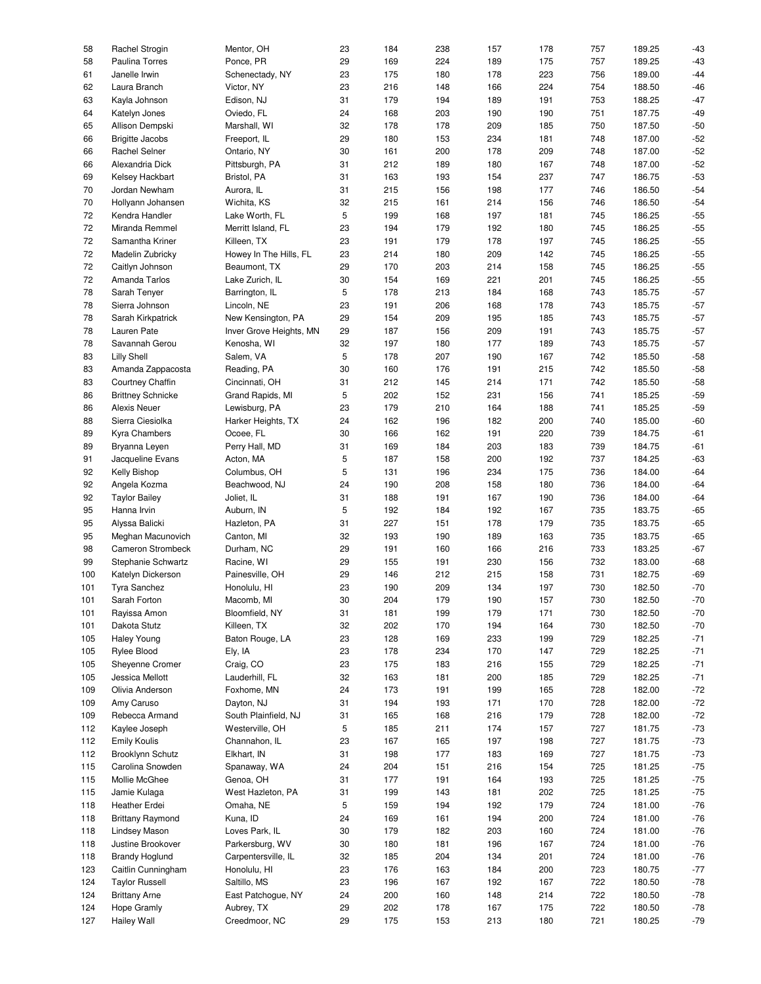| 58  | Rachel Strogin           | Mentor, OH              | 23     | 184 | 238 | 157 | 178 | 757 | 189.25 | $-43$ |
|-----|--------------------------|-------------------------|--------|-----|-----|-----|-----|-----|--------|-------|
| 58  | Paulina Torres           | Ponce, PR               | 29     | 169 | 224 | 189 | 175 | 757 | 189.25 | $-43$ |
| 61  | Janelle Irwin            | Schenectady, NY         | 23     | 175 | 180 | 178 | 223 | 756 | 189.00 | $-44$ |
| 62  | Laura Branch             | Victor, NY              | 23     | 216 | 148 | 166 | 224 | 754 | 188.50 | $-46$ |
|     |                          |                         |        |     |     |     |     |     |        |       |
| 63  | Kayla Johnson            | Edison, NJ              | 31     | 179 | 194 | 189 | 191 | 753 | 188.25 | $-47$ |
| 64  | Katelyn Jones            | Oviedo, FL              | 24     | 168 | 203 | 190 | 190 | 751 | 187.75 | $-49$ |
| 65  | Allison Dempski          | Marshall, WI            | 32     | 178 | 178 | 209 | 185 | 750 | 187.50 | $-50$ |
| 66  | <b>Brigitte Jacobs</b>   | Freeport, IL            | 29     | 180 | 153 | 234 | 181 | 748 | 187.00 | $-52$ |
| 66  | Rachel Selner            | Ontario, NY             | 30     | 161 | 200 | 178 | 209 | 748 | 187.00 | $-52$ |
|     |                          |                         |        |     |     |     |     |     |        |       |
| 66  | Alexandria Dick          | Pittsburgh, PA          | 31     | 212 | 189 | 180 | 167 | 748 | 187.00 | $-52$ |
| 69  | Kelsey Hackbart          | Bristol, PA             | 31     | 163 | 193 | 154 | 237 | 747 | 186.75 | $-53$ |
| 70  | Jordan Newham            | Aurora, IL              | 31     | 215 | 156 | 198 | 177 | 746 | 186.50 | $-54$ |
| 70  | Hollyann Johansen        | Wichita, KS             | 32     | 215 | 161 | 214 | 156 | 746 | 186.50 | $-54$ |
|     |                          |                         |        |     |     |     |     |     |        | $-55$ |
| 72  | Kendra Handler           | Lake Worth, FL          | 5      | 199 | 168 | 197 | 181 | 745 | 186.25 |       |
| 72  | Miranda Remmel           | Merritt Island, FL      | 23     | 194 | 179 | 192 | 180 | 745 | 186.25 | $-55$ |
| 72  | Samantha Kriner          | Killeen, TX             | 23     | 191 | 179 | 178 | 197 | 745 | 186.25 | $-55$ |
| 72  | Madelin Zubricky         | Howey In The Hills, FL  | 23     | 214 | 180 | 209 | 142 | 745 | 186.25 | $-55$ |
| 72  | Caitlyn Johnson          | Beaumont, TX            | 29     | 170 | 203 | 214 | 158 | 745 | 186.25 | $-55$ |
|     |                          |                         |        |     |     |     |     |     |        |       |
| 72  | Amanda Tarlos            | Lake Zurich, IL         | 30     | 154 | 169 | 221 | 201 | 745 | 186.25 | $-55$ |
| 78  | Sarah Tenyer             | Barrington, IL          | 5      | 178 | 213 | 184 | 168 | 743 | 185.75 | $-57$ |
| 78  | Sierra Johnson           | Lincoln, NE             | 23     | 191 | 206 | 168 | 178 | 743 | 185.75 | $-57$ |
| 78  | Sarah Kirkpatrick        | New Kensington, PA      | 29     | 154 | 209 | 195 | 185 | 743 | 185.75 | $-57$ |
| 78  | Lauren Pate              | Inver Grove Heights, MN | 29     | 187 | 156 | 209 | 191 | 743 | 185.75 | $-57$ |
|     |                          |                         |        |     |     |     |     |     |        |       |
| 78  | Savannah Gerou           | Kenosha, WI             | 32     | 197 | 180 | 177 | 189 | 743 | 185.75 | $-57$ |
| 83  | <b>Lilly Shell</b>       | Salem, VA               | 5      | 178 | 207 | 190 | 167 | 742 | 185.50 | $-58$ |
| 83  | Amanda Zappacosta        | Reading, PA             | 30     | 160 | 176 | 191 | 215 | 742 | 185.50 | $-58$ |
| 83  | Courtney Chaffin         | Cincinnati, OH          | 31     | 212 | 145 | 214 | 171 | 742 | 185.50 | $-58$ |
| 86  | <b>Brittney Schnicke</b> | Grand Rapids, MI        | 5      | 202 | 152 | 231 | 156 | 741 | 185.25 | $-59$ |
|     |                          |                         |        |     |     |     |     |     |        |       |
| 86  | <b>Alexis Neuer</b>      | Lewisburg, PA           | 23     | 179 | 210 | 164 | 188 | 741 | 185.25 | $-59$ |
| 88  | Sierra Ciesiolka         | Harker Heights, TX      | 24     | 162 | 196 | 182 | 200 | 740 | 185.00 | $-60$ |
| 89  | Kyra Chambers            | Ocoee, FL               | 30     | 166 | 162 | 191 | 220 | 739 | 184.75 | $-61$ |
| 89  | Bryanna Leyen            | Perry Hall, MD          | 31     | 169 | 184 | 203 | 183 | 739 | 184.75 | $-61$ |
| 91  | Jacqueline Evans         | Acton, MA               | 5      | 187 | 158 | 200 | 192 | 737 | 184.25 | $-63$ |
|     |                          |                         |        |     |     |     |     |     |        |       |
| 92  | Kelly Bishop             | Columbus, OH            | 5      | 131 | 196 | 234 | 175 | 736 | 184.00 | $-64$ |
| 92  | Angela Kozma             | Beachwood, NJ           | 24     | 190 | 208 | 158 | 180 | 736 | 184.00 | $-64$ |
| 92  | <b>Taylor Bailey</b>     | Joliet, IL              | 31     | 188 | 191 | 167 | 190 | 736 | 184.00 | $-64$ |
| 95  | Hanna Irvin              | Auburn, IN              | 5      | 192 | 184 | 192 | 167 | 735 | 183.75 | $-65$ |
|     |                          |                         |        |     |     |     |     |     |        |       |
| 95  | Alyssa Balicki           | Hazleton, PA            | 31     | 227 | 151 | 178 | 179 | 735 | 183.75 | $-65$ |
| 95  | Meghan Macunovich        | Canton, MI              | 32     | 193 | 190 | 189 | 163 | 735 | 183.75 | $-65$ |
| 98  | <b>Cameron Strombeck</b> | Durham, NC              | 29     | 191 | 160 | 166 | 216 | 733 | 183.25 | $-67$ |
| 99  | Stephanie Schwartz       | Racine, WI              | 29     | 155 | 191 | 230 | 156 | 732 | 183.00 | $-68$ |
| 100 | Katelyn Dickerson        | Painesville, OH         | 29     | 146 | 212 | 215 | 158 | 731 | 182.75 | $-69$ |
|     |                          |                         |        |     |     |     |     |     |        |       |
| 101 | <b>Tyra Sanchez</b>      | Honolulu, HI            | 23     | 190 | 209 | 134 | 197 | 730 | 182.50 | $-70$ |
| 101 | Sarah Forton             | Macomb, MI              | $30\,$ | 204 | 179 | 190 | 157 | 730 | 182.50 | $-70$ |
| 101 | Rayissa Amon             | Bloomfield, NY          | 31     | 181 | 199 | 179 | 171 | 730 | 182.50 | $-70$ |
| 101 | Dakota Stutz             | Killeen, TX             | 32     | 202 | 170 | 194 | 164 | 730 | 182.50 | $-70$ |
| 105 | <b>Haley Young</b>       | Baton Rouge, LA         | 23     | 128 | 169 | 233 | 199 | 729 | 182.25 | $-71$ |
|     |                          |                         |        |     |     |     |     |     |        |       |
| 105 | Rylee Blood              | Ely, IA                 | 23     | 178 | 234 | 170 | 147 | 729 | 182.25 | $-71$ |
| 105 | Sheyenne Cromer          | Craig, CO               | 23     | 175 | 183 | 216 | 155 | 729 | 182.25 | $-71$ |
| 105 | Jessica Mellott          | Lauderhill, FL          | 32     | 163 | 181 | 200 | 185 | 729 | 182.25 | $-71$ |
| 109 | Olivia Anderson          | Foxhome, MN             | 24     | 173 | 191 | 199 | 165 | 728 | 182.00 | $-72$ |
| 109 | Amy Caruso               | Dayton, NJ              | 31     | 194 | 193 | 171 | 170 | 728 | 182.00 | $-72$ |
|     |                          |                         |        |     |     |     |     |     |        |       |
| 109 | Rebecca Armand           | South Plainfield, NJ    | 31     | 165 | 168 | 216 | 179 | 728 | 182.00 | $-72$ |
| 112 | Kaylee Joseph            | Westerville, OH         | 5      | 185 | 211 | 174 | 157 | 727 | 181.75 | $-73$ |
| 112 | <b>Emily Koulis</b>      | Channahon, IL           | 23     | 167 | 165 | 197 | 198 | 727 | 181.75 | $-73$ |
| 112 | <b>Brooklynn Schutz</b>  | Elkhart, IN             | 31     | 198 | 177 | 183 | 169 | 727 | 181.75 | $-73$ |
| 115 | Carolina Snowden         | Spanaway, WA            | 24     | 204 | 151 | 216 | 154 | 725 | 181.25 | $-75$ |
|     |                          |                         |        |     |     |     |     |     |        |       |
| 115 | Mollie McGhee            | Genoa, OH               | 31     | 177 | 191 | 164 | 193 | 725 | 181.25 | $-75$ |
| 115 | Jamie Kulaga             | West Hazleton, PA       | 31     | 199 | 143 | 181 | 202 | 725 | 181.25 | $-75$ |
| 118 | Heather Erdei            | Omaha, NE               | 5      | 159 | 194 | 192 | 179 | 724 | 181.00 | $-76$ |
| 118 | <b>Brittany Raymond</b>  | Kuna, ID                | 24     | 169 | 161 | 194 | 200 | 724 | 181.00 | $-76$ |
|     |                          |                         |        | 179 |     |     |     | 724 | 181.00 |       |
| 118 | Lindsey Mason            | Loves Park, IL          | 30     |     | 182 | 203 | 160 |     |        | $-76$ |
| 118 | Justine Brookover        | Parkersburg, WV         | 30     | 180 | 181 | 196 | 167 | 724 | 181.00 | $-76$ |
| 118 | <b>Brandy Hoglund</b>    | Carpentersville, IL     | 32     | 185 | 204 | 134 | 201 | 724 | 181.00 | $-76$ |
| 123 | Caitlin Cunningham       | Honolulu, HI            | 23     | 176 | 163 | 184 | 200 | 723 | 180.75 | $-77$ |
| 124 | <b>Taylor Russell</b>    | Saltillo, MS            | 23     | 196 | 167 | 192 | 167 | 722 | 180.50 | $-78$ |
|     |                          |                         |        |     |     |     |     |     |        |       |
| 124 | <b>Brittany Arne</b>     | East Patchogue, NY      | 24     | 200 | 160 | 148 | 214 | 722 | 180.50 | $-78$ |
| 124 | Hope Gramly              | Aubrey, TX              | 29     | 202 | 178 | 167 | 175 | 722 | 180.50 | $-78$ |
| 127 | Hailey Wall              | Creedmoor, NC           | 29     | 175 | 153 | 213 | 180 | 721 | 180.25 | $-79$ |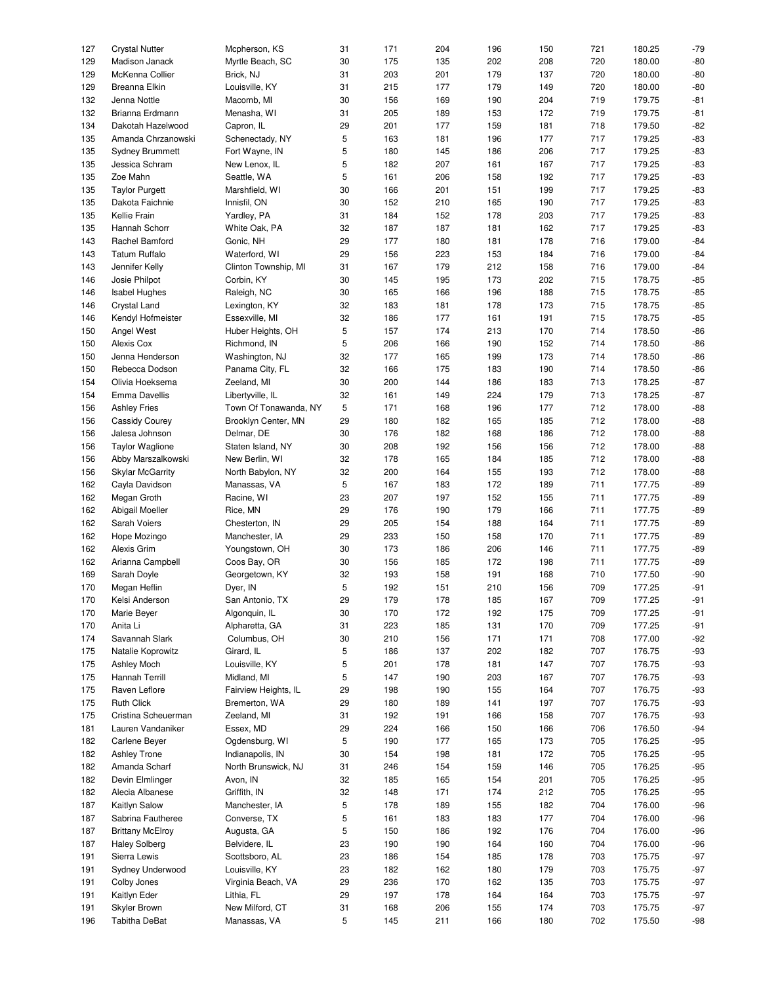| 127 | <b>Crystal Nutter</b>   | Mcpherson, KS         | 31 | 171 | 204 | 196 | 150 | 721 | 180.25 | $-79$ |
|-----|-------------------------|-----------------------|----|-----|-----|-----|-----|-----|--------|-------|
| 129 | Madison Janack          | Myrtle Beach, SC      | 30 | 175 | 135 | 202 | 208 | 720 | 180.00 | $-80$ |
| 129 | McKenna Collier         | Brick, NJ             | 31 | 203 | 201 | 179 | 137 | 720 | 180.00 | $-80$ |
| 129 | Breanna Elkin           | Louisville, KY        | 31 | 215 | 177 | 179 | 149 | 720 | 180.00 | $-80$ |
|     |                         |                       |    |     |     |     |     |     |        |       |
| 132 | Jenna Nottle            | Macomb, MI            | 30 | 156 | 169 | 190 | 204 | 719 | 179.75 | $-81$ |
| 132 | Brianna Erdmann         | Menasha, WI           | 31 | 205 | 189 | 153 | 172 | 719 | 179.75 | $-81$ |
| 134 | Dakotah Hazelwood       | Capron, IL            | 29 | 201 | 177 | 159 | 181 | 718 | 179.50 | $-82$ |
| 135 | Amanda Chrzanowski      | Schenectady, NY       | 5  | 163 | 181 | 196 | 177 | 717 | 179.25 | $-83$ |
|     |                         |                       |    |     |     |     |     |     |        |       |
| 135 | <b>Sydney Brummett</b>  | Fort Wayne, IN        | 5  | 180 | 145 | 186 | 206 | 717 | 179.25 | $-83$ |
| 135 | Jessica Schram          | New Lenox, IL         | 5  | 182 | 207 | 161 | 167 | 717 | 179.25 | $-83$ |
| 135 | Zoe Mahn                | Seattle, WA           | 5  | 161 | 206 | 158 | 192 | 717 | 179.25 | $-83$ |
|     |                         |                       |    |     |     |     |     |     |        |       |
| 135 | <b>Taylor Purgett</b>   | Marshfield, WI        | 30 | 166 | 201 | 151 | 199 | 717 | 179.25 | $-83$ |
| 135 | Dakota Faichnie         | Innisfil, ON          | 30 | 152 | 210 | 165 | 190 | 717 | 179.25 | $-83$ |
| 135 | Kellie Frain            | Yardley, PA           | 31 | 184 | 152 | 178 | 203 | 717 | 179.25 | $-83$ |
| 135 | Hannah Schorr           | White Oak, PA         | 32 | 187 | 187 | 181 | 162 | 717 | 179.25 | $-83$ |
|     | Rachel Bamford          |                       |    | 177 |     |     |     |     |        |       |
| 143 |                         | Gonic, NH             | 29 |     | 180 | 181 | 178 | 716 | 179.00 | $-84$ |
| 143 | <b>Tatum Ruffalo</b>    | Waterford, WI         | 29 | 156 | 223 | 153 | 184 | 716 | 179.00 | $-84$ |
| 143 | Jennifer Kelly          | Clinton Township, MI  | 31 | 167 | 179 | 212 | 158 | 716 | 179.00 | $-84$ |
| 146 | Josie Philpot           | Corbin, KY            | 30 | 145 | 195 | 173 | 202 | 715 | 178.75 | $-85$ |
|     |                         |                       |    |     |     |     |     |     |        |       |
| 146 | <b>Isabel Hughes</b>    | Raleigh, NC           | 30 | 165 | 166 | 196 | 188 | 715 | 178.75 | $-85$ |
| 146 | Crystal Land            | Lexington, KY         | 32 | 183 | 181 | 178 | 173 | 715 | 178.75 | $-85$ |
| 146 | Kendyl Hofmeister       | Essexville, MI        | 32 | 186 | 177 | 161 | 191 | 715 | 178.75 | $-85$ |
| 150 | Angel West              | Huber Heights, OH     | 5  | 157 | 174 | 213 | 170 | 714 | 178.50 | $-86$ |
|     |                         |                       |    |     |     |     |     |     |        |       |
| 150 | Alexis Cox              | Richmond, IN          | 5  | 206 | 166 | 190 | 152 | 714 | 178.50 | $-86$ |
| 150 | Jenna Henderson         | Washington, NJ        | 32 | 177 | 165 | 199 | 173 | 714 | 178.50 | $-86$ |
| 150 | Rebecca Dodson          | Panama City, FL       | 32 | 166 | 175 | 183 | 190 | 714 | 178.50 | $-86$ |
| 154 | Olivia Hoeksema         | Zeeland, MI           | 30 | 200 | 144 | 186 | 183 | 713 | 178.25 | $-87$ |
|     |                         |                       |    |     |     |     |     |     |        |       |
| 154 | Emma Davellis           | Libertyville, IL      | 32 | 161 | 149 | 224 | 179 | 713 | 178.25 | $-87$ |
| 156 | <b>Ashley Fries</b>     | Town Of Tonawanda, NY | 5  | 171 | 168 | 196 | 177 | 712 | 178.00 | $-88$ |
| 156 | Cassidy Courey          | Brooklyn Center, MN   | 29 | 180 | 182 | 165 | 185 | 712 | 178.00 | $-88$ |
| 156 | Jalesa Johnson          | Delmar, DE            | 30 | 176 | 182 | 168 | 186 | 712 | 178.00 | $-88$ |
|     |                         |                       |    |     |     |     |     |     |        |       |
| 156 | <b>Taylor Waglione</b>  | Staten Island, NY     | 30 | 208 | 192 | 156 | 156 | 712 | 178.00 | $-88$ |
| 156 | Abby Marszalkowski      | New Berlin, WI        | 32 | 178 | 165 | 184 | 185 | 712 | 178.00 | $-88$ |
| 156 | <b>Skylar McGarrity</b> | North Babylon, NY     | 32 | 200 | 164 | 155 | 193 | 712 | 178.00 | $-88$ |
| 162 | Cayla Davidson          | Manassas, VA          | 5  | 167 | 183 | 172 | 189 | 711 | 177.75 | $-89$ |
|     |                         |                       |    |     |     |     |     |     |        |       |
| 162 | Megan Groth             | Racine, WI            | 23 | 207 | 197 | 152 | 155 | 711 | 177.75 | $-89$ |
| 162 | Abigail Moeller         | Rice, MN              | 29 | 176 | 190 | 179 | 166 | 711 | 177.75 | $-89$ |
| 162 | Sarah Voiers            | Chesterton, IN        | 29 | 205 | 154 | 188 | 164 | 711 | 177.75 | $-89$ |
| 162 | Hope Mozingo            | Manchester, IA        | 29 | 233 | 150 | 158 | 170 | 711 | 177.75 | $-89$ |
|     |                         |                       |    |     |     |     |     |     |        |       |
| 162 | Alexis Grim             | Youngstown, OH        | 30 | 173 | 186 | 206 | 146 | 711 | 177.75 | $-89$ |
| 162 | Arianna Campbell        | Coos Bay, OR          | 30 | 156 | 185 | 172 | 198 | 711 | 177.75 | $-89$ |
| 169 | Sarah Doyle             | Georgetown, KY        | 32 | 193 | 158 | 191 | 168 | 710 | 177.50 | $-90$ |
| 170 | Megan Heflin            | Dyer, IN              | 5  | 192 | 151 | 210 | 156 | 709 | 177.25 | $-91$ |
|     |                         |                       |    |     |     |     |     |     |        |       |
| 170 | Kelsi Anderson          | San Antonio, TX       | 29 | 179 | 178 | 185 | 167 | 709 | 177.25 | $-91$ |
| 170 | Marie Beyer             | Algonquin, IL         | 30 | 170 | 172 | 192 | 175 | 709 | 177.25 | $-91$ |
| 170 | Anita Li                | Alpharetta, GA        | 31 | 223 | 185 | 131 | 170 | 709 | 177.25 | $-91$ |
| 174 | Savannah Slark          | Columbus, OH          | 30 | 210 | 156 | 171 | 171 | 708 | 177.00 | $-92$ |
|     |                         |                       |    |     |     |     |     |     |        |       |
| 175 | Natalie Koprowitz       | Girard, IL            | 5  | 186 | 137 | 202 | 182 | 707 | 176.75 | $-93$ |
| 175 | Ashley Moch             | Louisville, KY        | 5  | 201 | 178 | 181 | 147 | 707 | 176.75 | $-93$ |
| 175 | Hannah Terrill          | Midland, MI           | 5  | 147 | 190 | 203 | 167 | 707 | 176.75 | $-93$ |
| 175 | Raven Leflore           | Fairview Heights, IL  | 29 | 198 | 190 | 155 | 164 | 707 | 176.75 | $-93$ |
|     |                         | Bremerton, WA         |    |     |     |     |     |     | 176.75 | $-93$ |
| 175 | <b>Ruth Click</b>       |                       | 29 | 180 | 189 | 141 | 197 | 707 |        |       |
| 175 | Cristina Scheuerman     | Zeeland, MI           | 31 | 192 | 191 | 166 | 158 | 707 | 176.75 | $-93$ |
| 181 | Lauren Vandaniker       | Essex, MD             | 29 | 224 | 166 | 150 | 166 | 706 | 176.50 | $-94$ |
| 182 | Carlene Beyer           | Ogdensburg, WI        | 5  | 190 | 177 | 165 | 173 | 705 | 176.25 | $-95$ |
|     |                         |                       |    |     |     |     |     |     | 176.25 |       |
| 182 | <b>Ashley Trone</b>     | Indianapolis, IN      | 30 | 154 | 198 | 181 | 172 | 705 |        | $-95$ |
| 182 | Amanda Scharf           | North Brunswick, NJ   | 31 | 246 | 154 | 159 | 146 | 705 | 176.25 | $-95$ |
| 182 | Devin Elmlinger         | Avon, IN              | 32 | 185 | 165 | 154 | 201 | 705 | 176.25 | $-95$ |
| 182 | Alecia Albanese         | Griffith, IN          | 32 | 148 | 171 | 174 | 212 | 705 | 176.25 | $-95$ |
|     |                         |                       |    |     |     |     |     |     |        |       |
| 187 | Kaitlyn Salow           | Manchester, IA        | 5  | 178 | 189 | 155 | 182 | 704 | 176.00 | $-96$ |
| 187 | Sabrina Fautheree       | Converse, TX          | 5  | 161 | 183 | 183 | 177 | 704 | 176.00 | $-96$ |
| 187 | <b>Brittany McElroy</b> | Augusta, GA           | 5  | 150 | 186 | 192 | 176 | 704 | 176.00 | $-96$ |
| 187 | <b>Haley Solberg</b>    | Belvidere, IL         | 23 | 190 | 190 | 164 | 160 | 704 | 176.00 | $-96$ |
| 191 | Sierra Lewis            | Scottsboro, AL        | 23 | 186 | 154 | 185 | 178 | 703 | 175.75 | $-97$ |
|     |                         |                       |    |     |     |     |     |     |        |       |
| 191 | Sydney Underwood        | Louisville, KY        | 23 | 182 | 162 | 180 | 179 | 703 | 175.75 | $-97$ |
| 191 | Colby Jones             | Virginia Beach, VA    | 29 | 236 | 170 | 162 | 135 | 703 | 175.75 | $-97$ |
| 191 | Kaitlyn Eder            | Lithia, FL            | 29 | 197 | 178 | 164 | 164 | 703 | 175.75 | $-97$ |
| 191 | Skyler Brown            | New Milford, CT       | 31 | 168 | 206 | 155 | 174 | 703 | 175.75 | $-97$ |
|     |                         |                       |    |     |     |     |     |     |        |       |
| 196 | Tabitha DeBat           | Manassas, VA          | 5  | 145 | 211 | 166 | 180 | 702 | 175.50 | $-98$ |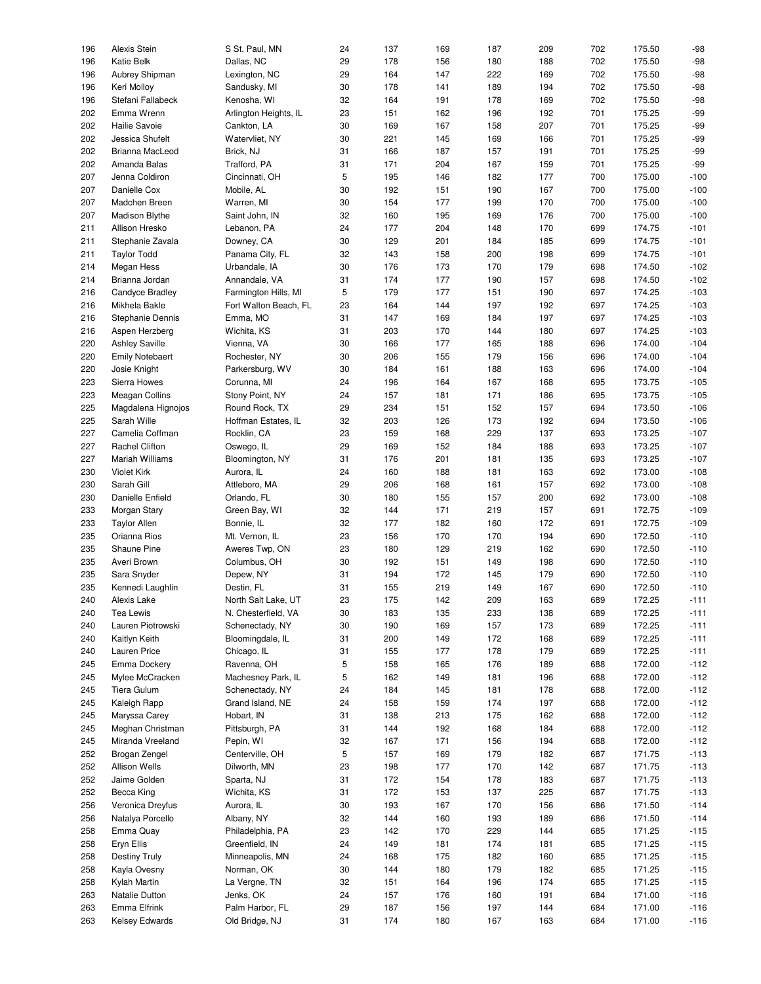| 196 | Alexis Stein           | S St. Paul, MN        | 24 | 137 | 169 | 187 | 209 | 702 | 175.50 | $-98$  |
|-----|------------------------|-----------------------|----|-----|-----|-----|-----|-----|--------|--------|
| 196 | Katie Belk             | Dallas, NC            | 29 | 178 | 156 | 180 | 188 | 702 | 175.50 | $-98$  |
| 196 | Aubrey Shipman         | Lexington, NC         | 29 | 164 | 147 | 222 | 169 | 702 | 175.50 | $-98$  |
|     |                        |                       |    |     |     |     |     |     |        |        |
| 196 | Keri Molloy            | Sandusky, MI          | 30 | 178 | 141 | 189 | 194 | 702 | 175.50 | $-98$  |
| 196 | Stefani Fallabeck      | Kenosha, WI           | 32 | 164 | 191 | 178 | 169 | 702 | 175.50 | $-98$  |
|     |                        |                       |    |     |     |     |     |     |        |        |
| 202 | Emma Wrenn             | Arlington Heights, IL | 23 | 151 | 162 | 196 | 192 | 701 | 175.25 | $-99$  |
| 202 | Hailie Savoie          | Cankton, LA           | 30 | 169 | 167 | 158 | 207 | 701 | 175.25 | $-99$  |
| 202 | Jessica Shufelt        | Watervliet, NY        | 30 | 221 | 145 | 169 | 166 | 701 | 175.25 | $-99$  |
|     |                        |                       |    |     |     |     |     |     |        |        |
| 202 | Brianna MacLeod        | Brick, NJ             | 31 | 166 | 187 | 157 | 191 | 701 | 175.25 | $-99$  |
| 202 | Amanda Balas           | Trafford, PA          | 31 | 171 | 204 | 167 | 159 | 701 | 175.25 | $-99$  |
| 207 | Jenna Coldiron         |                       | 5  |     |     |     |     |     | 175.00 | $-100$ |
|     |                        | Cincinnati, OH        |    | 195 | 146 | 182 | 177 | 700 |        |        |
| 207 | Danielle Cox           | Mobile, AL            | 30 | 192 | 151 | 190 | 167 | 700 | 175.00 | $-100$ |
| 207 | Madchen Breen          | Warren, MI            | 30 | 154 | 177 | 199 | 170 | 700 | 175.00 | $-100$ |
|     |                        |                       |    |     |     |     |     |     |        |        |
| 207 | Madison Blythe         | Saint John, IN        | 32 | 160 | 195 | 169 | 176 | 700 | 175.00 | $-100$ |
| 211 | Allison Hresko         | Lebanon, PA           | 24 | 177 | 204 | 148 | 170 | 699 | 174.75 | $-101$ |
| 211 | Stephanie Zavala       | Downey, CA            | 30 | 129 | 201 | 184 | 185 | 699 | 174.75 | $-101$ |
|     |                        |                       |    |     |     |     |     |     |        |        |
| 211 | <b>Taylor Todd</b>     | Panama City, FL       | 32 | 143 | 158 | 200 | 198 | 699 | 174.75 | $-101$ |
| 214 | Megan Hess             | Urbandale, IA         | 30 | 176 | 173 | 170 | 179 | 698 | 174.50 | $-102$ |
| 214 | Brianna Jordan         | Annandale, VA         | 31 | 174 | 177 | 190 | 157 | 698 | 174.50 | $-102$ |
|     |                        |                       |    |     |     |     |     |     |        |        |
| 216 | Candyce Bradley        | Farmington Hills, MI  | 5  | 179 | 177 | 151 | 190 | 697 | 174.25 | $-103$ |
| 216 | Mikhela Bakle          | Fort Walton Beach, FL | 23 | 164 | 144 | 197 | 192 | 697 | 174.25 | $-103$ |
|     |                        |                       |    |     |     |     |     |     |        |        |
| 216 | Stephanie Dennis       | Emma, MO              | 31 | 147 | 169 | 184 | 197 | 697 | 174.25 | $-103$ |
| 216 | Aspen Herzberg         | Wichita, KS           | 31 | 203 | 170 | 144 | 180 | 697 | 174.25 | $-103$ |
| 220 | <b>Ashley Saville</b>  | Vienna, VA            | 30 | 166 | 177 | 165 | 188 | 696 | 174.00 | $-104$ |
|     |                        |                       |    |     |     |     |     |     |        |        |
| 220 | <b>Emily Notebaert</b> | Rochester, NY         | 30 | 206 | 155 | 179 | 156 | 696 | 174.00 | $-104$ |
| 220 | Josie Knight           | Parkersburg, WV       | 30 | 184 | 161 | 188 | 163 | 696 | 174.00 | $-104$ |
| 223 | Sierra Howes           | Corunna, MI           | 24 | 196 | 164 | 167 | 168 | 695 | 173.75 | $-105$ |
|     |                        |                       |    |     |     |     |     |     |        |        |
| 223 | Meagan Collins         | Stony Point, NY       | 24 | 157 | 181 | 171 | 186 | 695 | 173.75 | $-105$ |
| 225 | Magdalena Hignojos     | Round Rock, TX        | 29 | 234 | 151 | 152 | 157 | 694 | 173.50 | $-106$ |
|     |                        |                       |    |     |     |     |     |     |        |        |
| 225 | Sarah Wille            | Hoffman Estates, IL   | 32 | 203 | 126 | 173 | 192 | 694 | 173.50 | $-106$ |
| 227 | Camelia Coffman        | Rocklin, CA           | 23 | 159 | 168 | 229 | 137 | 693 | 173.25 | $-107$ |
| 227 | Rachel Clifton         | Oswego, IL            | 29 | 169 | 152 | 184 | 188 | 693 | 173.25 | $-107$ |
|     |                        |                       |    |     |     |     |     |     |        |        |
| 227 | Mariah Williams        | Bloomington, NY       | 31 | 176 | 201 | 181 | 135 | 693 | 173.25 | $-107$ |
| 230 | <b>Violet Kirk</b>     | Aurora, IL            | 24 | 160 | 188 | 181 | 163 | 692 | 173.00 | $-108$ |
| 230 | Sarah Gill             | Attleboro, MA         | 29 | 206 | 168 | 161 | 157 | 692 | 173.00 | $-108$ |
|     |                        |                       |    |     |     |     |     |     |        |        |
| 230 | Danielle Enfield       | Orlando, FL           | 30 | 180 | 155 | 157 | 200 | 692 | 173.00 | $-108$ |
| 233 | Morgan Stary           | Green Bay, WI         | 32 | 144 | 171 | 219 | 157 | 691 | 172.75 | $-109$ |
| 233 | <b>Taylor Allen</b>    | Bonnie, IL            | 32 | 177 | 182 | 160 | 172 | 691 | 172.75 | $-109$ |
|     |                        |                       |    |     |     |     |     |     |        |        |
| 235 | Orianna Rios           | Mt. Vernon, IL        | 23 | 156 | 170 | 170 | 194 | 690 | 172.50 | $-110$ |
| 235 | Shaune Pine            | Aweres Twp, ON        | 23 | 180 | 129 | 219 | 162 | 690 | 172.50 | $-110$ |
| 235 | Averi Brown            | Columbus, OH          | 30 | 192 | 151 | 149 | 198 | 690 | 172.50 | $-110$ |
|     |                        |                       |    |     |     |     |     |     |        |        |
| 235 | Sara Snyder            | Depew, NY             | 31 | 194 | 172 | 145 | 179 | 690 | 172.50 | $-110$ |
| 235 | Kennedi Laughlin       | Destin, FL            | 31 | 155 | 219 | 149 | 167 | 690 | 172.50 | $-110$ |
|     |                        |                       |    |     |     |     |     |     |        |        |
| 240 | Alexis Lake            | North Salt Lake, UT   | 23 | 175 | 142 | 209 | 163 | 689 | 172.25 | $-111$ |
| 240 | Tea Lewis              | N. Chesterfield, VA   | 30 | 183 | 135 | 233 | 138 | 689 | 172.25 | $-111$ |
| 240 | Lauren Piotrowski      | Schenectady, NY       | 30 | 190 | 169 | 157 | 173 | 689 | 172.25 | $-111$ |
|     |                        |                       |    |     |     |     |     |     |        |        |
| 240 | Kaitlyn Keith          | Bloomingdale, IL      | 31 | 200 | 149 | 172 | 168 | 689 | 172.25 | $-111$ |
| 240 | Lauren Price           | Chicago, IL           | 31 | 155 | 177 | 178 | 179 | 689 | 172.25 | $-111$ |
| 245 | Emma Dockery           | Ravenna, OH           | 5  | 158 | 165 | 176 | 189 | 688 | 172.00 | $-112$ |
|     |                        |                       |    |     |     |     |     |     |        |        |
| 245 | Mylee McCracken        | Machesney Park, IL    | 5  | 162 | 149 | 181 | 196 | 688 | 172.00 | $-112$ |
| 245 | Tiera Gulum            | Schenectady, NY       | 24 | 184 | 145 | 181 | 178 | 688 | 172.00 | $-112$ |
|     | Kaleigh Rapp           | Grand Island, NE      | 24 | 158 |     | 174 | 197 | 688 | 172.00 | $-112$ |
| 245 |                        |                       |    |     | 159 |     |     |     |        |        |
| 245 | Maryssa Carey          | Hobart, IN            | 31 | 138 | 213 | 175 | 162 | 688 | 172.00 | $-112$ |
| 245 | Meghan Christman       | Pittsburgh, PA        | 31 | 144 | 192 | 168 | 184 | 688 | 172.00 | $-112$ |
|     |                        |                       |    |     |     |     |     |     |        |        |
| 245 | Miranda Vreeland       | Pepin, WI             | 32 | 167 | 171 | 156 | 194 | 688 | 172.00 | $-112$ |
| 252 | Brogan Zengel          | Centerville, OH       | 5  | 157 | 169 | 179 | 182 | 687 | 171.75 | $-113$ |
| 252 | Allison Wells          | Dilworth, MN          | 23 | 198 | 177 | 170 | 142 | 687 | 171.75 | $-113$ |
|     |                        |                       |    |     |     |     |     |     |        |        |
| 252 | Jaime Golden           | Sparta, NJ            | 31 | 172 | 154 | 178 | 183 | 687 | 171.75 | $-113$ |
| 252 | Becca King             | Wichita, KS           | 31 | 172 | 153 | 137 | 225 | 687 | 171.75 | $-113$ |
| 256 | Veronica Dreyfus       | Aurora, IL            | 30 | 193 | 167 | 170 | 156 | 686 | 171.50 | $-114$ |
|     |                        |                       |    |     |     |     |     |     |        |        |
| 256 | Natalya Porcello       | Albany, NY            | 32 | 144 | 160 | 193 | 189 | 686 | 171.50 | $-114$ |
| 258 | Emma Quay              | Philadelphia, PA      | 23 | 142 | 170 | 229 | 144 | 685 | 171.25 | $-115$ |
|     |                        |                       |    |     |     |     |     |     |        |        |
| 258 | Eryn Ellis             | Greenfield, IN        | 24 | 149 | 181 | 174 | 181 | 685 | 171.25 | $-115$ |
| 258 | Destiny Truly          | Minneapolis, MN       | 24 | 168 | 175 | 182 | 160 | 685 | 171.25 | $-115$ |
| 258 | Kayla Ovesny           | Norman, OK            | 30 | 144 | 180 | 179 | 182 | 685 | 171.25 | $-115$ |
|     |                        |                       |    |     |     |     |     |     |        |        |
| 258 | Kylah Martin           | La Vergne, TN         | 32 | 151 | 164 | 196 | 174 | 685 | 171.25 | $-115$ |
| 263 | Natalie Dutton         | Jenks, OK             | 24 | 157 | 176 | 160 | 191 | 684 | 171.00 | $-116$ |
| 263 | Emma Elfrink           | Palm Harbor, FL       | 29 | 187 | 156 | 197 | 144 | 684 | 171.00 | $-116$ |
|     |                        |                       |    |     |     |     |     |     |        |        |
| 263 | Kelsey Edwards         | Old Bridge, NJ        | 31 | 174 | 180 | 167 | 163 | 684 | 171.00 | $-116$ |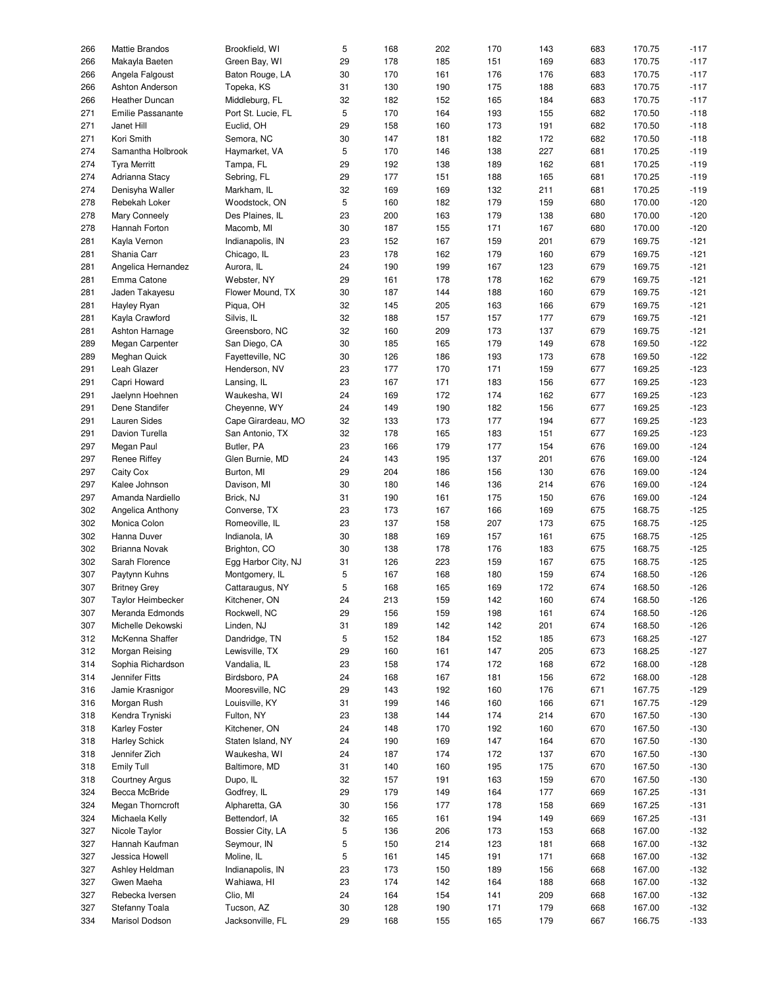| 266 | Mattie Brandos           | Brookfield, WI      | 5  | 168 | 202 | 170 | 143 | 683 | 170.75 | $-117$ |
|-----|--------------------------|---------------------|----|-----|-----|-----|-----|-----|--------|--------|
| 266 | Makayla Baeten           | Green Bay, WI       | 29 | 178 | 185 | 151 | 169 | 683 | 170.75 | $-117$ |
|     |                          |                     |    |     |     |     |     |     |        |        |
| 266 | Angela Falgoust          | Baton Rouge, LA     | 30 | 170 | 161 | 176 | 176 | 683 | 170.75 | $-117$ |
| 266 | Ashton Anderson          | Topeka, KS          | 31 | 130 | 190 | 175 | 188 | 683 | 170.75 | $-117$ |
| 266 | Heather Duncan           | Middleburg, FL      | 32 | 182 | 152 | 165 | 184 | 683 | 170.75 | $-117$ |
| 271 | <b>Emilie Passanante</b> | Port St. Lucie, FL  | 5  | 170 | 164 | 193 | 155 | 682 | 170.50 | $-118$ |
| 271 | Janet Hill               | Euclid, OH          | 29 | 158 | 160 | 173 | 191 | 682 | 170.50 | $-118$ |
|     |                          |                     |    |     |     |     |     |     |        |        |
| 271 | Kori Smith               | Semora, NC          | 30 | 147 | 181 | 182 | 172 | 682 | 170.50 | $-118$ |
| 274 | Samantha Holbrook        | Haymarket, VA       | 5  | 170 | 146 | 138 | 227 | 681 | 170.25 | $-119$ |
| 274 | <b>Tyra Merritt</b>      | Tampa, FL           | 29 | 192 | 138 | 189 | 162 | 681 | 170.25 | $-119$ |
| 274 | Adrianna Stacy           | Sebring, FL         | 29 | 177 | 151 | 188 | 165 | 681 | 170.25 | $-119$ |
|     |                          |                     |    |     |     |     |     |     |        |        |
| 274 | Denisyha Waller          | Markham, IL         | 32 | 169 | 169 | 132 | 211 | 681 | 170.25 | $-119$ |
| 278 | Rebekah Loker            | Woodstock, ON       | 5  | 160 | 182 | 179 | 159 | 680 | 170.00 | $-120$ |
| 278 | Mary Conneely            | Des Plaines, IL     | 23 | 200 | 163 | 179 | 138 | 680 | 170.00 | $-120$ |
| 278 | Hannah Forton            | Macomb, MI          | 30 | 187 | 155 | 171 | 167 | 680 | 170.00 | $-120$ |
|     |                          |                     |    |     |     |     |     |     |        | $-121$ |
| 281 | Kayla Vernon             | Indianapolis, IN    | 23 | 152 | 167 | 159 | 201 | 679 | 169.75 |        |
| 281 | Shania Carr              | Chicago, IL         | 23 | 178 | 162 | 179 | 160 | 679 | 169.75 | $-121$ |
| 281 | Angelica Hernandez       | Aurora, IL          | 24 | 190 | 199 | 167 | 123 | 679 | 169.75 | $-121$ |
| 281 | Emma Catone              | Webster, NY         | 29 | 161 | 178 | 178 | 162 | 679 | 169.75 | $-121$ |
|     |                          |                     |    |     |     |     |     |     |        |        |
| 281 | Jaden Takayesu           | Flower Mound, TX    | 30 | 187 | 144 | 188 | 160 | 679 | 169.75 | $-121$ |
| 281 | Hayley Ryan              | Piqua, OH           | 32 | 145 | 205 | 163 | 166 | 679 | 169.75 | $-121$ |
| 281 | Kayla Crawford           | Silvis, IL          | 32 | 188 | 157 | 157 | 177 | 679 | 169.75 | $-121$ |
| 281 | Ashton Harnage           | Greensboro, NC      | 32 | 160 | 209 | 173 | 137 | 679 | 169.75 | $-121$ |
| 289 | Megan Carpenter          | San Diego, CA       | 30 | 185 | 165 | 179 | 149 | 678 | 169.50 | $-122$ |
|     |                          |                     |    |     |     |     |     |     |        |        |
| 289 | Meghan Quick             | Fayetteville, NC    | 30 | 126 | 186 | 193 | 173 | 678 | 169.50 | $-122$ |
| 291 | Leah Glazer              | Henderson, NV       | 23 | 177 | 170 | 171 | 159 | 677 | 169.25 | $-123$ |
| 291 | Capri Howard             | Lansing, IL         | 23 | 167 | 171 | 183 | 156 | 677 | 169.25 | $-123$ |
| 291 | Jaelynn Hoehnen          | Waukesha, WI        | 24 | 169 | 172 | 174 | 162 | 677 | 169.25 | $-123$ |
|     |                          |                     |    |     |     |     |     |     |        |        |
| 291 | Dene Standifer           | Cheyenne, WY        | 24 | 149 | 190 | 182 | 156 | 677 | 169.25 | $-123$ |
| 291 | Lauren Sides             | Cape Girardeau, MO  | 32 | 133 | 173 | 177 | 194 | 677 | 169.25 | $-123$ |
| 291 | Davion Turella           | San Antonio, TX     | 32 | 178 | 165 | 183 | 151 | 677 | 169.25 | $-123$ |
| 297 | Megan Paul               | Butler, PA          | 23 | 166 | 179 | 177 | 154 | 676 | 169.00 | $-124$ |
|     |                          |                     |    |     |     |     |     |     |        | $-124$ |
| 297 | <b>Renee Riffey</b>      | Glen Burnie, MD     | 24 | 143 | 195 | 137 | 201 | 676 | 169.00 |        |
| 297 | Caity Cox                | Burton, MI          | 29 | 204 | 186 | 156 | 130 | 676 | 169.00 | $-124$ |
| 297 | Kalee Johnson            | Davison, MI         | 30 | 180 | 146 | 136 | 214 | 676 | 169.00 | $-124$ |
| 297 | Amanda Nardiello         | Brick, NJ           | 31 | 190 | 161 | 175 | 150 | 676 | 169.00 | $-124$ |
| 302 |                          | Converse, TX        | 23 | 173 | 167 | 166 | 169 | 675 | 168.75 | $-125$ |
|     | Angelica Anthony         |                     |    |     |     |     |     |     |        |        |
| 302 | Monica Colon             | Romeoville, IL      | 23 | 137 | 158 | 207 | 173 | 675 | 168.75 | $-125$ |
| 302 | Hanna Duver              | Indianola, IA       | 30 | 188 | 169 | 157 | 161 | 675 | 168.75 | $-125$ |
| 302 | Brianna Novak            | Brighton, CO        | 30 | 138 | 178 | 176 | 183 | 675 | 168.75 | $-125$ |
| 302 | Sarah Florence           | Egg Harbor City, NJ | 31 | 126 | 223 | 159 | 167 | 675 | 168.75 | $-125$ |
|     |                          |                     |    |     |     |     |     |     |        |        |
| 307 | Paytynn Kuhns            | Montgomery, IL      | 5  | 167 | 168 | 180 | 159 | 674 | 168.50 | $-126$ |
| 307 | <b>Britney Grey</b>      | Cattaraugus, NY     | 5  | 168 | 165 | 169 | 172 | 674 | 168.50 | $-126$ |
| 307 | Taylor Heimbecker        | Kitchener, ON       | 24 | 213 | 159 | 142 | 160 | 674 | 168.50 | $-126$ |
| 307 | Meranda Edmonds          | Rockwell, NC        | 29 | 156 | 159 | 198 | 161 | 674 | 168.50 | $-126$ |
|     |                          |                     |    |     |     |     |     |     |        |        |
| 307 | Michelle Dekowski        | Linden, NJ          | 31 | 189 | 142 | 142 | 201 | 674 | 168.50 | $-126$ |
| 312 | McKenna Shaffer          | Dandridge, TN       | 5  | 152 | 184 | 152 | 185 | 673 | 168.25 | $-127$ |
| 312 | Morgan Reising           | Lewisville, TX      | 29 | 160 | 161 | 147 | 205 | 673 | 168.25 | $-127$ |
| 314 | Sophia Richardson        | Vandalia, IL        | 23 | 158 | 174 | 172 | 168 | 672 | 168.00 | $-128$ |
|     |                          |                     |    |     |     |     |     |     |        |        |
| 314 | Jennifer Fitts           | Birdsboro, PA       | 24 | 168 | 167 | 181 | 156 | 672 | 168.00 | $-128$ |
| 316 | Jamie Krasnigor          | Mooresville, NC     | 29 | 143 | 192 | 160 | 176 | 671 | 167.75 | $-129$ |
| 316 | Morgan Rush              | Louisville, KY      | 31 | 199 | 146 | 160 | 166 | 671 | 167.75 | $-129$ |
| 318 | Kendra Tryniski          | Fulton, NY          | 23 | 138 | 144 | 174 | 214 | 670 | 167.50 | $-130$ |
|     |                          |                     |    |     |     |     |     |     |        |        |
| 318 | Karley Foster            | Kitchener, ON       | 24 | 148 | 170 | 192 | 160 | 670 | 167.50 | $-130$ |
| 318 | <b>Harley Schick</b>     | Staten Island, NY   | 24 | 190 | 169 | 147 | 164 | 670 | 167.50 | $-130$ |
| 318 | Jennifer Zich            | Waukesha, WI        | 24 | 187 | 174 | 172 | 137 | 670 | 167.50 | $-130$ |
| 318 | Emily Tull               | Baltimore, MD       | 31 | 140 | 160 | 195 | 175 | 670 | 167.50 | $-130$ |
| 318 | <b>Courtney Argus</b>    | Dupo, IL            | 32 | 157 | 191 | 163 | 159 | 670 | 167.50 | $-130$ |
|     |                          |                     |    |     |     |     |     |     |        |        |
| 324 | Becca McBride            | Godfrey, IL         | 29 | 179 | 149 | 164 | 177 | 669 | 167.25 | $-131$ |
| 324 | Megan Thorncroft         | Alpharetta, GA      | 30 | 156 | 177 | 178 | 158 | 669 | 167.25 | $-131$ |
| 324 | Michaela Kelly           | Bettendorf, IA      | 32 | 165 | 161 | 194 | 149 | 669 | 167.25 | $-131$ |
| 327 | Nicole Taylor            | Bossier City, LA    | 5  | 136 | 206 | 173 | 153 | 668 | 167.00 | $-132$ |
|     |                          |                     |    |     |     |     |     |     |        |        |
| 327 | Hannah Kaufman           | Seymour, IN         | 5  | 150 | 214 | 123 | 181 | 668 | 167.00 | $-132$ |
| 327 | Jessica Howell           | Moline, IL          | 5  | 161 | 145 | 191 | 171 | 668 | 167.00 | $-132$ |
| 327 | Ashley Heldman           | Indianapolis, IN    | 23 | 173 | 150 | 189 | 156 | 668 | 167.00 | $-132$ |
| 327 | Gwen Maeha               | Wahiawa, HI         | 23 | 174 | 142 | 164 | 188 | 668 | 167.00 | $-132$ |
|     |                          |                     |    |     |     |     |     |     |        |        |
| 327 | Rebecka Iversen          | Clio, MI            | 24 | 164 | 154 | 141 | 209 | 668 | 167.00 | $-132$ |
| 327 | Stefanny Toala           | Tucson, AZ          | 30 | 128 | 190 | 171 | 179 | 668 | 167.00 | $-132$ |
| 334 | Marisol Dodson           | Jacksonville, FL    | 29 | 168 | 155 | 165 | 179 | 667 | 166.75 | $-133$ |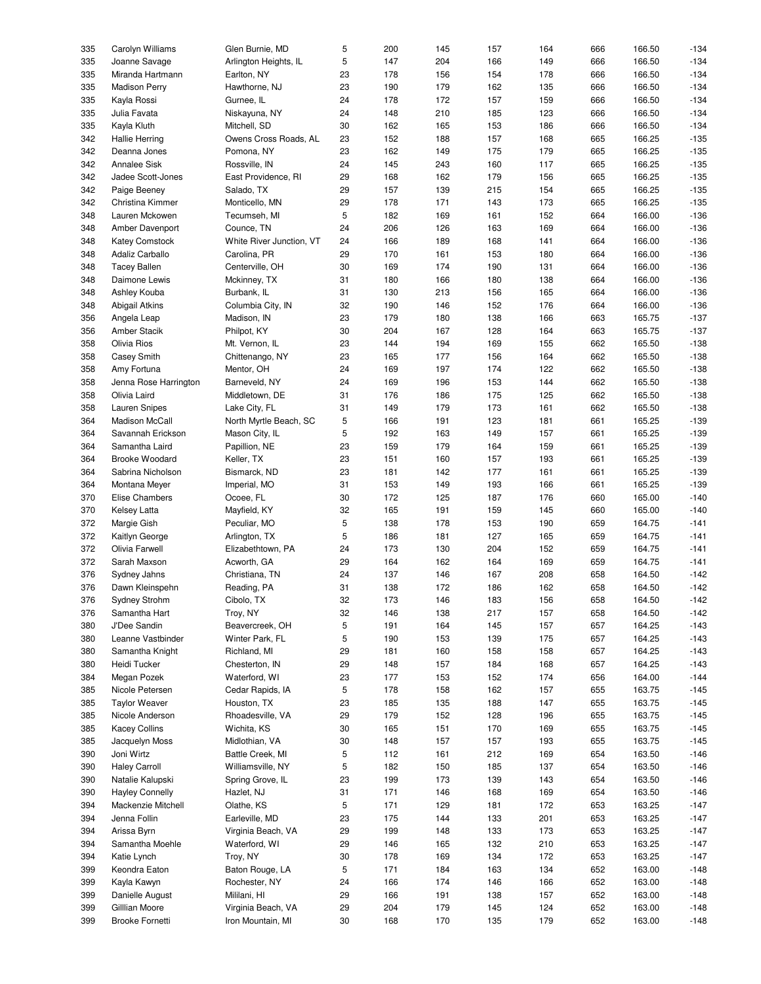| 335 | Carolyn Williams       | Glen Burnie, MD          | 5  | 200 | 145 | 157 | 164 | 666 | 166.50 | $-134$ |
|-----|------------------------|--------------------------|----|-----|-----|-----|-----|-----|--------|--------|
|     |                        |                          |    |     |     |     |     |     |        |        |
| 335 | Joanne Savage          | Arlington Heights, IL    | 5  | 147 | 204 | 166 | 149 | 666 | 166.50 | $-134$ |
| 335 | Miranda Hartmann       | Earlton, NY              | 23 | 178 | 156 | 154 | 178 | 666 | 166.50 | $-134$ |
| 335 | <b>Madison Perry</b>   | Hawthorne, NJ            | 23 | 190 | 179 | 162 | 135 | 666 | 166.50 | $-134$ |
| 335 | Kayla Rossi            | Gurnee, IL               | 24 | 178 | 172 | 157 | 159 | 666 | 166.50 | $-134$ |
|     |                        |                          |    |     |     |     |     |     |        |        |
| 335 | Julia Favata           | Niskayuna, NY            | 24 | 148 | 210 | 185 | 123 | 666 | 166.50 | $-134$ |
| 335 | Kayla Kluth            | Mitchell, SD             | 30 | 162 | 165 | 153 | 186 | 666 | 166.50 | $-134$ |
| 342 | <b>Hallie Herring</b>  | Owens Cross Roads, AL    | 23 | 152 | 188 | 157 | 168 | 665 | 166.25 | $-135$ |
|     |                        |                          |    |     |     |     |     |     |        |        |
| 342 | Deanna Jones           | Pomona, NY               | 23 | 162 | 149 | 175 | 179 | 665 | 166.25 | $-135$ |
| 342 | <b>Annalee Sisk</b>    | Rossville, IN            | 24 | 145 | 243 | 160 | 117 | 665 | 166.25 | $-135$ |
| 342 | Jadee Scott-Jones      | East Providence, RI      | 29 | 168 | 162 | 179 | 156 | 665 | 166.25 | $-135$ |
| 342 |                        |                          | 29 | 157 | 139 | 215 | 154 |     | 166.25 | $-135$ |
|     | Paige Beeney           | Salado, TX               |    |     |     |     |     | 665 |        |        |
| 342 | Christina Kimmer       | Monticello, MN           | 29 | 178 | 171 | 143 | 173 | 665 | 166.25 | $-135$ |
| 348 | Lauren Mckowen         | Tecumseh, MI             | 5  | 182 | 169 | 161 | 152 | 664 | 166.00 | $-136$ |
| 348 | Amber Davenport        | Counce, TN               | 24 | 206 | 126 | 163 | 169 | 664 | 166.00 | $-136$ |
|     |                        |                          |    |     |     |     |     |     |        |        |
| 348 | <b>Katey Comstock</b>  | White River Junction, VT | 24 | 166 | 189 | 168 | 141 | 664 | 166.00 | $-136$ |
| 348 | Adaliz Carballo        | Carolina, PR             | 29 | 170 | 161 | 153 | 180 | 664 | 166.00 | $-136$ |
| 348 | <b>Tacey Ballen</b>    | Centerville, OH          | 30 | 169 | 174 | 190 | 131 | 664 | 166.00 | $-136$ |
|     |                        |                          |    |     |     |     |     |     |        |        |
| 348 | Daimone Lewis          | Mckinney, TX             | 31 | 180 | 166 | 180 | 138 | 664 | 166.00 | $-136$ |
| 348 | Ashley Kouba           | Burbank, IL              | 31 | 130 | 213 | 156 | 165 | 664 | 166.00 | $-136$ |
| 348 | Abigail Atkins         | Columbia City, IN        | 32 | 190 | 146 | 152 | 176 | 664 | 166.00 | $-136$ |
| 356 | Angela Leap            |                          | 23 | 179 | 180 | 138 | 166 | 663 | 165.75 | $-137$ |
|     |                        | Madison, IN              |    |     |     |     |     |     |        |        |
| 356 | Amber Stacik           | Philpot, KY              | 30 | 204 | 167 | 128 | 164 | 663 | 165.75 | $-137$ |
| 358 | Olivia Rios            | Mt. Vernon, IL           | 23 | 144 | 194 | 169 | 155 | 662 | 165.50 | $-138$ |
| 358 | Casey Smith            | Chittenango, NY          | 23 | 165 | 177 | 156 | 164 | 662 | 165.50 | $-138$ |
|     |                        |                          |    |     |     |     |     |     |        |        |
| 358 | Amy Fortuna            | Mentor, OH               | 24 | 169 | 197 | 174 | 122 | 662 | 165.50 | $-138$ |
| 358 | Jenna Rose Harrington  | Barneveld, NY            | 24 | 169 | 196 | 153 | 144 | 662 | 165.50 | $-138$ |
| 358 | Olivia Laird           | Middletown, DE           | 31 | 176 | 186 | 175 | 125 | 662 | 165.50 | $-138$ |
|     |                        |                          |    |     |     |     |     |     |        |        |
| 358 | <b>Lauren Snipes</b>   | Lake City, FL            | 31 | 149 | 179 | 173 | 161 | 662 | 165.50 | $-138$ |
| 364 | Madison McCall         | North Myrtle Beach, SC   | 5  | 166 | 191 | 123 | 181 | 661 | 165.25 | $-139$ |
| 364 | Savannah Erickson      | Mason City, IL           | 5  | 192 | 163 | 149 | 157 | 661 | 165.25 | $-139$ |
| 364 | Samantha Laird         | Papillion, NE            | 23 | 159 | 179 | 164 | 159 | 661 | 165.25 | $-139$ |
|     |                        |                          |    |     |     |     |     |     |        |        |
| 364 | <b>Brooke Woodard</b>  | Keller, TX               | 23 | 151 | 160 | 157 | 193 | 661 | 165.25 | $-139$ |
| 364 | Sabrina Nicholson      | Bismarck, ND             | 23 | 181 | 142 | 177 | 161 | 661 | 165.25 | $-139$ |
| 364 | Montana Meyer          | Imperial, MO             | 31 | 153 | 149 | 193 | 166 | 661 | 165.25 | $-139$ |
|     |                        |                          |    |     |     |     |     |     |        |        |
| 370 | Elise Chambers         | Ocoee, FL                | 30 | 172 | 125 | 187 | 176 | 660 | 165.00 | $-140$ |
| 370 | Kelsey Latta           | Mayfield, KY             | 32 | 165 | 191 | 159 | 145 | 660 | 165.00 | $-140$ |
| 372 | Margie Gish            | Peculiar, MO             | 5  | 138 | 178 | 153 | 190 | 659 | 164.75 | $-141$ |
| 372 |                        |                          | 5  |     |     | 127 |     |     | 164.75 | $-141$ |
|     | Kaitlyn George         | Arlington, TX            |    | 186 | 181 |     | 165 | 659 |        |        |
| 372 | Olivia Farwell         | Elizabethtown, PA        | 24 | 173 | 130 | 204 | 152 | 659 | 164.75 | $-141$ |
| 372 | Sarah Maxson           | Acworth, GA              | 29 | 164 | 162 | 164 | 169 | 659 | 164.75 | $-141$ |
| 376 | Sydney Jahns           | Christiana, TN           | 24 | 137 | 146 | 167 | 208 | 658 | 164.50 | $-142$ |
|     |                        |                          |    |     |     |     |     |     |        |        |
| 376 | Dawn Kleinspehn        | Reading, PA              | 31 | 138 | 172 | 186 | 162 | 658 | 164.50 | $-142$ |
| 376 | Sydney Strohm          | Cibolo, TX               | 32 | 173 | 146 | 183 | 156 | 658 | 164.50 | $-142$ |
| 376 | Samantha Hart          | Troy, NY                 | 32 | 146 | 138 | 217 | 157 | 658 | 164.50 | $-142$ |
|     |                        |                          |    |     |     |     |     |     |        |        |
| 380 | J'Dee Sandin           | Beavercreek, OH          | 5  | 191 | 164 | 145 | 157 | 657 | 164.25 | $-143$ |
| 380 | Leanne Vastbinder      | Winter Park, FL          | 5  | 190 | 153 | 139 | 175 | 657 | 164.25 | $-143$ |
| 380 | Samantha Knight        | Richland, MI             | 29 | 181 | 160 | 158 | 158 | 657 | 164.25 | $-143$ |
| 380 | Heidi Tucker           | Chesterton, IN           | 29 | 148 | 157 | 184 | 168 | 657 | 164.25 | $-143$ |
|     |                        |                          |    |     |     |     |     |     |        |        |
| 384 | Megan Pozek            | Waterford, WI            | 23 | 177 | 153 | 152 | 174 | 656 | 164.00 | $-144$ |
| 385 | Nicole Petersen        | Cedar Rapids, IA         | 5  | 178 | 158 | 162 | 157 | 655 | 163.75 | $-145$ |
| 385 | <b>Taylor Weaver</b>   | Houston, TX              | 23 | 185 | 135 | 188 | 147 | 655 | 163.75 | $-145$ |
|     |                        |                          |    |     |     |     |     |     |        |        |
| 385 | Nicole Anderson        | Rhoadesville, VA         | 29 | 179 | 152 | 128 | 196 | 655 | 163.75 | $-145$ |
| 385 | <b>Kacey Collins</b>   | Wichita, KS              | 30 | 165 | 151 | 170 | 169 | 655 | 163.75 | $-145$ |
| 385 | Jacquelyn Moss         | Midlothian, VA           | 30 | 148 | 157 | 157 | 193 | 655 | 163.75 | $-145$ |
|     |                        |                          |    |     |     |     |     |     |        |        |
| 390 | Joni Wirtz             | Battle Creek, MI         | 5  | 112 | 161 | 212 | 169 | 654 | 163.50 | $-146$ |
| 390 | <b>Haley Carroll</b>   | Williamsville, NY        | 5  | 182 | 150 | 185 | 137 | 654 | 163.50 | $-146$ |
| 390 | Natalie Kalupski       | Spring Grove, IL         | 23 | 199 | 173 | 139 | 143 | 654 | 163.50 | $-146$ |
| 390 | <b>Hayley Connelly</b> | Hazlet, NJ               | 31 | 171 | 146 | 168 | 169 | 654 | 163.50 | $-146$ |
|     |                        |                          |    |     |     |     |     |     |        |        |
| 394 | Mackenzie Mitchell     | Olathe, KS               | 5  | 171 | 129 | 181 | 172 | 653 | 163.25 | $-147$ |
| 394 | Jenna Follin           | Earleville, MD           | 23 | 175 | 144 | 133 | 201 | 653 | 163.25 | $-147$ |
| 394 | Arissa Byrn            | Virginia Beach, VA       | 29 | 199 | 148 | 133 | 173 | 653 | 163.25 | $-147$ |
|     |                        |                          |    |     |     |     |     |     |        |        |
| 394 | Samantha Moehle        | Waterford, WI            | 29 | 146 | 165 | 132 | 210 | 653 | 163.25 | $-147$ |
| 394 | Katie Lynch            | Troy, NY                 | 30 | 178 | 169 | 134 | 172 | 653 | 163.25 | $-147$ |
| 399 | Keondra Eaton          | Baton Rouge, LA          | 5  | 171 | 184 | 163 | 134 | 652 | 163.00 | $-148$ |
| 399 | Kayla Kawyn            | Rochester, NY            | 24 | 166 | 174 | 146 | 166 | 652 | 163.00 | $-148$ |
|     |                        |                          |    |     |     |     |     |     |        |        |
| 399 | Danielle August        | Mililani, HI             | 29 | 166 | 191 | 138 | 157 | 652 | 163.00 | $-148$ |
| 399 | Gilllian Moore         | Virginia Beach, VA       | 29 | 204 | 179 | 145 | 124 | 652 | 163.00 | $-148$ |
| 399 | <b>Brooke Fornetti</b> | Iron Mountain, MI        | 30 | 168 | 170 | 135 | 179 | 652 | 163.00 | $-148$ |
|     |                        |                          |    |     |     |     |     |     |        |        |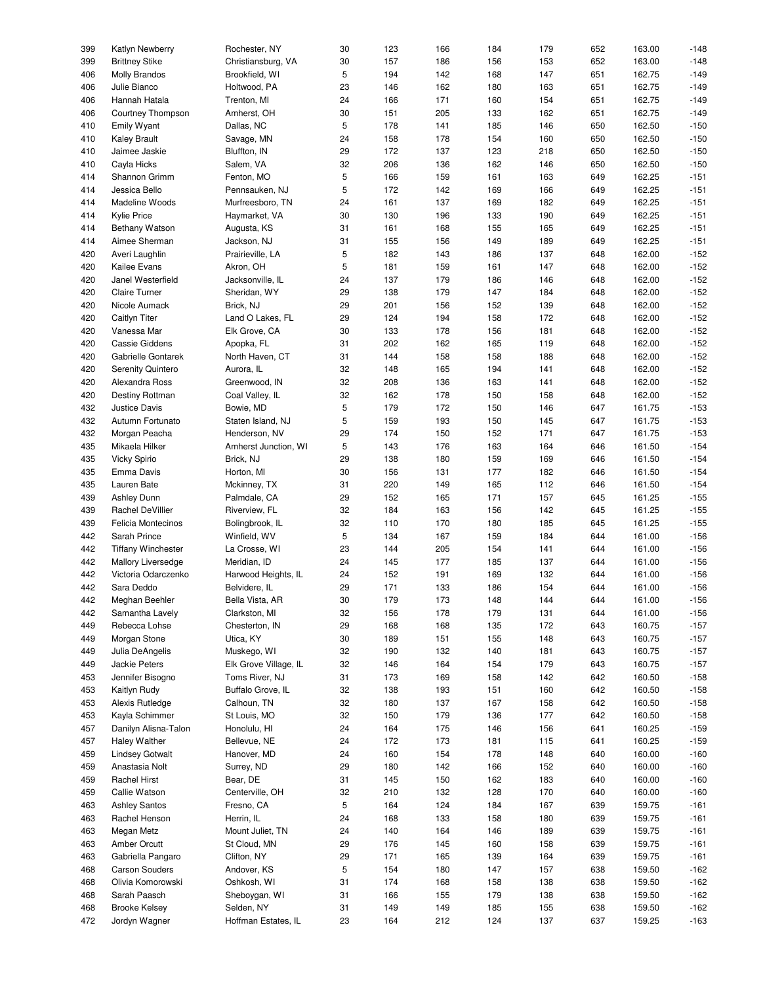| 399 | Katlyn Newberry           | Rochester, NY         | 30 | 123 | 166 | 184 | 179 | 652 | 163.00 | $-148$ |
|-----|---------------------------|-----------------------|----|-----|-----|-----|-----|-----|--------|--------|
| 399 | <b>Brittney Stike</b>     | Christiansburg, VA    | 30 | 157 | 186 | 156 | 153 | 652 | 163.00 | $-148$ |
| 406 | Molly Brandos             | Brookfield, WI        | 5  | 194 | 142 | 168 | 147 | 651 | 162.75 | $-149$ |
|     |                           |                       |    |     |     |     |     |     |        |        |
| 406 | Julie Bianco              | Holtwood, PA          | 23 | 146 | 162 | 180 | 163 | 651 | 162.75 | $-149$ |
| 406 | Hannah Hatala             | Trenton, MI           | 24 | 166 | 171 | 160 | 154 | 651 | 162.75 | $-149$ |
| 406 | Courtney Thompson         | Amherst, OH           | 30 | 151 | 205 | 133 | 162 | 651 | 162.75 | $-149$ |
|     |                           |                       |    |     |     |     |     |     |        |        |
| 410 | Emily Wyant               | Dallas, NC            | 5  | 178 | 141 | 185 | 146 | 650 | 162.50 | $-150$ |
| 410 | <b>Kaley Brault</b>       | Savage, MN            | 24 | 158 | 178 | 154 | 160 | 650 | 162.50 | $-150$ |
|     |                           |                       |    |     |     |     |     |     |        |        |
| 410 | Jaimee Jaskie             | Bluffton, IN          | 29 | 172 | 137 | 123 | 218 | 650 | 162.50 | $-150$ |
| 410 | Cayla Hicks               | Salem, VA             | 32 | 206 | 136 | 162 | 146 | 650 | 162.50 | $-150$ |
| 414 | Shannon Grimm             | Fenton, MO            | 5  | 166 | 159 | 161 | 163 | 649 | 162.25 | $-151$ |
|     |                           |                       |    |     |     |     |     |     |        |        |
| 414 | Jessica Bello             | Pennsauken, NJ        | 5  | 172 | 142 | 169 | 166 | 649 | 162.25 | $-151$ |
| 414 | Madeline Woods            | Murfreesboro, TN      | 24 | 161 | 137 | 169 | 182 | 649 | 162.25 | $-151$ |
| 414 | <b>Kylie Price</b>        | Haymarket, VA         | 30 | 130 | 196 | 133 | 190 | 649 | 162.25 | $-151$ |
|     |                           |                       |    |     |     |     |     |     |        |        |
| 414 | Bethany Watson            | Augusta, KS           | 31 | 161 | 168 | 155 | 165 | 649 | 162.25 | $-151$ |
| 414 | Aimee Sherman             | Jackson, NJ           | 31 | 155 | 156 | 149 | 189 | 649 | 162.25 | $-151$ |
| 420 | Averi Laughlin            | Prairieville, LA      | 5  | 182 | 143 | 186 | 137 | 648 | 162.00 | $-152$ |
|     |                           |                       |    |     |     |     |     |     |        |        |
| 420 | Kailee Evans              | Akron, OH             | 5  | 181 | 159 | 161 | 147 | 648 | 162.00 | $-152$ |
| 420 | Janel Westerfield         | Jacksonville, IL      | 24 | 137 | 179 | 186 | 146 | 648 | 162.00 | $-152$ |
| 420 | <b>Claire Turner</b>      | Sheridan, WY          | 29 | 138 | 179 | 147 | 184 | 648 | 162.00 | $-152$ |
|     |                           |                       |    |     |     |     |     |     |        |        |
| 420 | Nicole Aumack             | Brick, NJ             | 29 | 201 | 156 | 152 | 139 | 648 | 162.00 | $-152$ |
| 420 | Caitlyn Titer             | Land O Lakes, FL      | 29 | 124 | 194 | 158 | 172 | 648 | 162.00 | $-152$ |
| 420 | Vanessa Mar               |                       | 30 | 133 | 178 | 156 | 181 |     | 162.00 | $-152$ |
|     |                           | Elk Grove, CA         |    |     |     |     |     | 648 |        |        |
| 420 | <b>Cassie Giddens</b>     | Apopka, FL            | 31 | 202 | 162 | 165 | 119 | 648 | 162.00 | $-152$ |
| 420 | Gabrielle Gontarek        | North Haven, CT       | 31 | 144 | 158 | 158 | 188 | 648 | 162.00 | $-152$ |
|     |                           |                       |    |     |     |     |     |     |        |        |
| 420 | <b>Serenity Quintero</b>  | Aurora, IL            | 32 | 148 | 165 | 194 | 141 | 648 | 162.00 | $-152$ |
| 420 | Alexandra Ross            | Greenwood, IN         | 32 | 208 | 136 | 163 | 141 | 648 | 162.00 | $-152$ |
| 420 | Destiny Rottman           | Coal Valley, IL       | 32 | 162 | 178 | 150 | 158 | 648 | 162.00 | $-152$ |
| 432 |                           | Bowie, MD             | 5  | 179 | 172 | 150 |     | 647 | 161.75 | $-153$ |
|     | Justice Davis             |                       |    |     |     |     | 146 |     |        |        |
| 432 | Autumn Fortunato          | Staten Island, NJ     | 5  | 159 | 193 | 150 | 145 | 647 | 161.75 | $-153$ |
| 432 | Morgan Peacha             | Henderson, NV         | 29 | 174 | 150 | 152 | 171 | 647 | 161.75 | $-153$ |
| 435 | Mikaela Hilker            | Amherst Junction, WI  | 5  | 143 | 176 | 163 | 164 | 646 | 161.50 | $-154$ |
|     |                           |                       |    |     |     |     |     |     |        |        |
| 435 | <b>Vicky Spirio</b>       | Brick, NJ             | 29 | 138 | 180 | 159 | 169 | 646 | 161.50 | $-154$ |
| 435 | Emma Davis                | Horton, MI            | 30 | 156 | 131 | 177 | 182 | 646 | 161.50 | $-154$ |
| 435 | Lauren Bate               | Mckinney, TX          | 31 | 220 | 149 | 165 | 112 | 646 | 161.50 | $-154$ |
| 439 | <b>Ashley Dunn</b>        | Palmdale, CA          | 29 | 152 | 165 | 171 | 157 | 645 | 161.25 | $-155$ |
|     |                           |                       |    |     |     |     |     |     |        |        |
| 439 | Rachel DeVillier          | Riverview, FL         | 32 | 184 | 163 | 156 | 142 | 645 | 161.25 | $-155$ |
| 439 | Felicia Montecinos        | Bolingbrook, IL       | 32 | 110 | 170 | 180 | 185 | 645 | 161.25 | $-155$ |
| 442 | Sarah Prince              | Winfield, WV          | 5  | 134 | 167 | 159 | 184 | 644 | 161.00 | $-156$ |
|     |                           |                       |    |     |     |     |     |     |        |        |
| 442 | <b>Tiffany Winchester</b> | La Crosse, WI         | 23 | 144 | 205 | 154 | 141 | 644 | 161.00 | $-156$ |
| 442 | Mallory Liversedge        | Meridian, ID          | 24 | 145 | 177 | 185 | 137 | 644 | 161.00 | $-156$ |
| 442 | Victoria Odarczenko       | Harwood Heights, IL   | 24 | 152 | 191 | 169 | 132 | 644 | 161.00 | $-156$ |
|     |                           |                       |    |     |     |     |     |     |        |        |
| 442 | Sara Deddo                | Belvidere, IL         | 29 | 171 | 133 | 186 | 154 | 644 | 161.00 | $-156$ |
| 442 | Meghan Beehler            | Bella Vista, AR       | 30 | 179 | 173 | 148 | 144 | 644 | 161.00 | $-156$ |
| 442 | Samantha Lavely           | Clarkston, MI         | 32 | 156 | 178 | 179 | 131 | 644 | 161.00 | $-156$ |
|     |                           | Chesterton, IN        |    |     |     |     | 172 |     |        |        |
| 449 | Rebecca Lohse             |                       | 29 | 168 | 168 | 135 |     | 643 | 160.75 | $-157$ |
| 449 | Morgan Stone              | Utica, KY             | 30 | 189 | 151 | 155 | 148 | 643 | 160.75 | $-157$ |
| 449 | Julia DeAngelis           | Muskego, WI           | 32 | 190 | 132 | 140 | 181 | 643 | 160.75 | $-157$ |
|     | Jackie Peters             | Elk Grove Village, IL | 32 |     |     |     |     |     | 160.75 | $-157$ |
| 449 |                           |                       |    | 146 | 164 | 154 | 179 | 643 |        |        |
| 453 | Jennifer Bisogno          | Toms River, NJ        | 31 | 173 | 169 | 158 | 142 | 642 | 160.50 | $-158$ |
| 453 | Kaitlyn Rudy              | Buffalo Grove, IL     | 32 | 138 | 193 | 151 | 160 | 642 | 160.50 | $-158$ |
|     | Alexis Rutledge           |                       |    |     | 137 | 167 | 158 | 642 | 160.50 | $-158$ |
| 453 |                           | Calhoun, TN           | 32 | 180 |     |     |     |     |        |        |
| 453 | Kayla Schimmer            | St Louis, MO          | 32 | 150 | 179 | 136 | 177 | 642 | 160.50 | $-158$ |
| 457 | Danilyn Alisna-Talon      | Honolulu, HI          | 24 | 164 | 175 | 146 | 156 | 641 | 160.25 | $-159$ |
|     |                           | Bellevue, NE          |    |     |     |     |     |     | 160.25 | $-159$ |
| 457 | <b>Haley Walther</b>      |                       | 24 | 172 | 173 | 181 | 115 | 641 |        |        |
| 459 | <b>Lindsey Gotwalt</b>    | Hanover, MD           | 24 | 160 | 154 | 178 | 148 | 640 | 160.00 | $-160$ |
| 459 | Anastasia Nolt            | Surrey, ND            | 29 | 180 | 142 | 166 | 152 | 640 | 160.00 | $-160$ |
| 459 | Rachel Hirst              | Bear, DE              | 31 | 145 | 150 | 162 | 183 | 640 | 160.00 | $-160$ |
|     |                           |                       |    |     |     |     |     |     |        |        |
| 459 | Callie Watson             | Centerville, OH       | 32 | 210 | 132 | 128 | 170 | 640 | 160.00 | $-160$ |
| 463 | <b>Ashley Santos</b>      | Fresno, CA            | 5  | 164 | 124 | 184 | 167 | 639 | 159.75 | $-161$ |
| 463 | Rachel Henson             | Herrin, IL            | 24 | 168 | 133 | 158 | 180 | 639 | 159.75 | $-161$ |
|     |                           |                       |    |     |     |     |     |     |        |        |
| 463 | Megan Metz                | Mount Juliet, TN      | 24 | 140 | 164 | 146 | 189 | 639 | 159.75 | $-161$ |
| 463 | <b>Amber Orcutt</b>       | St Cloud, MN          | 29 | 176 | 145 | 160 | 158 | 639 | 159.75 | $-161$ |
| 463 | Gabriella Pangaro         | Clifton, NY           | 29 | 171 | 165 | 139 | 164 | 639 | 159.75 | $-161$ |
| 468 | <b>Carson Souders</b>     | Andover, KS           | 5  | 154 | 180 | 147 | 157 | 638 | 159.50 | $-162$ |
|     |                           |                       |    |     |     |     |     |     |        |        |
| 468 | Olivia Komorowski         | Oshkosh, WI           | 31 | 174 | 168 | 158 | 138 | 638 | 159.50 | $-162$ |
| 468 | Sarah Paasch              | Sheboygan, WI         | 31 | 166 | 155 | 179 | 138 | 638 | 159.50 | $-162$ |
| 468 | <b>Brooke Kelsey</b>      | Selden, NY            | 31 | 149 | 149 | 185 | 155 | 638 | 159.50 | $-162$ |
| 472 | Jordyn Wagner             | Hoffman Estates, IL   | 23 | 164 | 212 | 124 | 137 | 637 | 159.25 | $-163$ |
|     |                           |                       |    |     |     |     |     |     |        |        |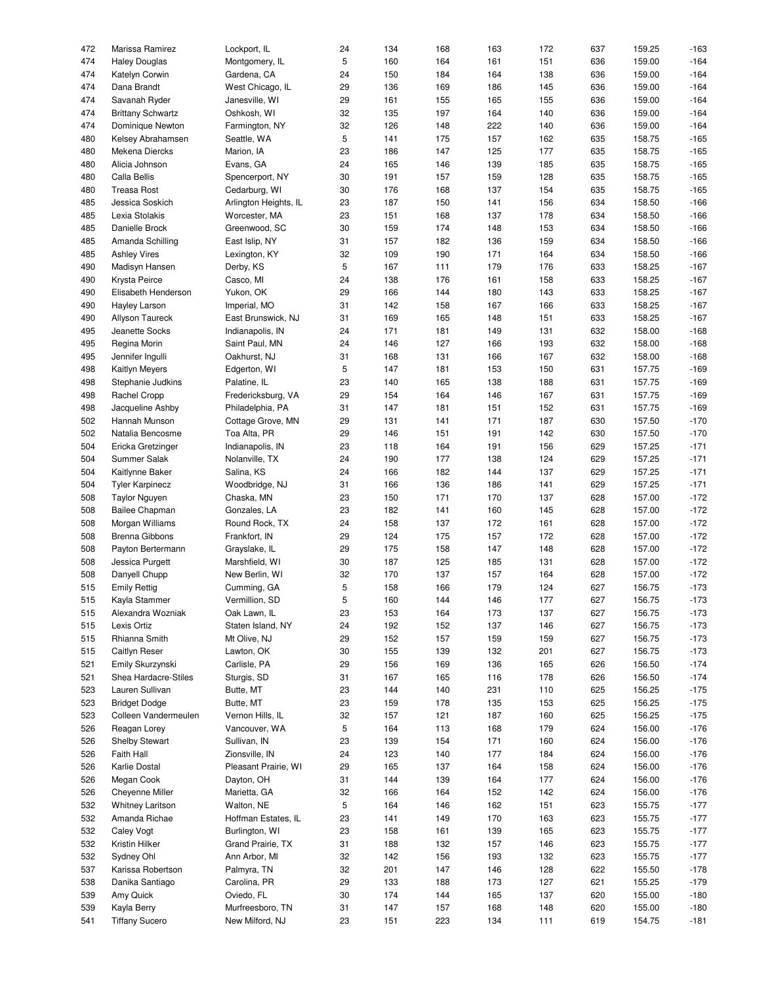| 472 | Marissa Ramirez          | Lockport, IL          | 24 | 134 | 168 | 163 | 172 | 637 | 159.25 | $-163$ |
|-----|--------------------------|-----------------------|----|-----|-----|-----|-----|-----|--------|--------|
| 474 | <b>Haley Douglas</b>     | Montgomery, IL        | 5  | 160 | 164 | 161 | 151 | 636 | 159.00 | $-164$ |
| 474 | Katelyn Corwin           | Gardena, CA           | 24 | 150 | 184 | 164 | 138 | 636 | 159.00 | $-164$ |
| 474 | Dana Brandt              | West Chicago, IL      | 29 | 136 | 169 | 186 | 145 | 636 | 159.00 | $-164$ |
|     |                          |                       |    |     |     |     |     |     |        |        |
| 474 | Savanah Ryder            | Janesville, WI        | 29 | 161 | 155 | 165 | 155 | 636 | 159.00 | $-164$ |
| 474 | <b>Brittany Schwartz</b> | Oshkosh, WI           | 32 | 135 | 197 | 164 | 140 | 636 | 159.00 | $-164$ |
| 474 | Dominique Newton         | Farmington, NY        | 32 | 126 | 148 | 222 | 140 | 636 | 159.00 | $-164$ |
| 480 | Kelsey Abrahamsen        | Seattle, WA           | 5  | 141 | 175 | 157 | 162 | 635 | 158.75 | $-165$ |
| 480 | Mekena Diercks           | Marion, IA            | 23 | 186 | 147 | 125 | 177 | 635 | 158.75 | $-165$ |
|     |                          |                       |    |     |     |     |     |     |        |        |
| 480 | Alicia Johnson           | Evans, GA             | 24 | 165 | 146 | 139 | 185 | 635 | 158.75 | $-165$ |
| 480 | Calla Bellis             | Spencerport, NY       | 30 | 191 | 157 | 159 | 128 | 635 | 158.75 | $-165$ |
| 480 | <b>Treasa Rost</b>       | Cedarburg, WI         | 30 | 176 | 168 | 137 | 154 | 635 | 158.75 | $-165$ |
| 485 | Jessica Soskich          | Arlington Heights, IL | 23 | 187 | 150 | 141 | 156 | 634 | 158.50 | $-166$ |
|     |                          |                       |    |     |     |     |     |     |        |        |
| 485 | Lexia Stolakis           | Worcester, MA         | 23 | 151 | 168 | 137 | 178 | 634 | 158.50 | $-166$ |
| 485 | Danielle Brock           | Greenwood, SC         | 30 | 159 | 174 | 148 | 153 | 634 | 158.50 | $-166$ |
| 485 | Amanda Schilling         | East Islip, NY        | 31 | 157 | 182 | 136 | 159 | 634 | 158.50 | $-166$ |
| 485 | <b>Ashley Vires</b>      | Lexington, KY         | 32 | 109 | 190 | 171 | 164 | 634 | 158.50 | $-166$ |
|     |                          |                       |    |     |     |     |     |     |        |        |
| 490 | Madisyn Hansen           | Derby, KS             | 5  | 167 | 111 | 179 | 176 | 633 | 158.25 | $-167$ |
| 490 | Krysta Peirce            | Casco, MI             | 24 | 138 | 176 | 161 | 158 | 633 | 158.25 | $-167$ |
| 490 | Elisabeth Henderson      | Yukon, OK             | 29 | 166 | 144 | 180 | 143 | 633 | 158.25 | $-167$ |
| 490 | Hayley Larson            | Imperial, MO          | 31 | 142 | 158 | 167 | 166 | 633 | 158.25 | $-167$ |
|     |                          |                       |    |     |     |     |     |     |        |        |
| 490 | Allyson Taureck          | East Brunswick, NJ    | 31 | 169 | 165 | 148 | 151 | 633 | 158.25 | $-167$ |
| 495 | Jeanette Socks           | Indianapolis, IN      | 24 | 171 | 181 | 149 | 131 | 632 | 158.00 | $-168$ |
| 495 | Regina Morin             | Saint Paul, MN        | 24 | 146 | 127 | 166 | 193 | 632 | 158.00 | $-168$ |
| 495 | Jennifer Ingulli         | Oakhurst, NJ          | 31 | 168 | 131 | 166 | 167 | 632 | 158.00 | $-168$ |
| 498 |                          |                       | 5  | 147 | 181 | 153 | 150 | 631 | 157.75 | $-169$ |
|     | <b>Kaitlyn Meyers</b>    | Edgerton, WI          |    |     |     |     |     |     |        |        |
| 498 | Stephanie Judkins        | Palatine, IL          | 23 | 140 | 165 | 138 | 188 | 631 | 157.75 | $-169$ |
| 498 | Rachel Cropp             | Fredericksburg, VA    | 29 | 154 | 164 | 146 | 167 | 631 | 157.75 | $-169$ |
| 498 | Jacqueline Ashby         | Philadelphia, PA      | 31 | 147 | 181 | 151 | 152 | 631 | 157.75 | $-169$ |
| 502 | Hannah Munson            | Cottage Grove, MN     | 29 | 131 | 141 | 171 | 187 | 630 | 157.50 | $-170$ |
|     |                          |                       |    |     |     |     |     |     |        |        |
| 502 | Natalia Bencosme         | Toa Alta, PR          | 29 | 146 | 151 | 191 | 142 | 630 | 157.50 | $-170$ |
| 504 | Ericka Gretzinger        | Indianapolis, IN      | 23 | 118 | 164 | 191 | 156 | 629 | 157.25 | $-171$ |
| 504 | Summer Salak             | Nolanville, TX        | 24 | 190 | 177 | 138 | 124 | 629 | 157.25 | $-171$ |
| 504 | Kaitlynne Baker          | Salina, KS            | 24 | 166 | 182 | 144 | 137 | 629 | 157.25 | $-171$ |
|     |                          |                       |    |     |     |     |     |     |        |        |
| 504 | <b>Tyler Karpinecz</b>   | Woodbridge, NJ        | 31 | 166 | 136 | 186 | 141 | 629 | 157.25 | $-171$ |
| 508 | <b>Taylor Nguyen</b>     | Chaska, MN            | 23 | 150 | 171 | 170 | 137 | 628 | 157.00 | $-172$ |
| 508 | <b>Bailee Chapman</b>    | Gonzales, LA          | 23 | 182 | 141 | 160 | 145 | 628 | 157.00 | $-172$ |
| 508 | Morgan Williams          | Round Rock, TX        | 24 | 158 | 137 | 172 | 161 | 628 | 157.00 | $-172$ |
| 508 | Brenna Gibbons           | Frankfort, IN         | 29 | 124 | 175 | 157 | 172 | 628 | 157.00 | $-172$ |
|     |                          |                       |    |     |     |     |     |     |        |        |
| 508 | Payton Bertermann        | Grayslake, IL         | 29 | 175 | 158 | 147 | 148 | 628 | 157.00 | $-172$ |
| 508 | Jessica Purgett          | Marshfield, WI        | 30 | 187 | 125 | 185 | 131 | 628 | 157.00 | $-172$ |
| 508 | Danyell Chupp            | New Berlin, WI        | 32 | 170 | 137 | 157 | 164 | 628 | 157.00 | $-172$ |
| 515 | <b>Emily Rettig</b>      | Cumming, GA           | 5  | 158 | 166 | 179 | 124 | 627 | 156.75 | $-173$ |
|     |                          |                       |    |     |     |     |     |     |        |        |
| 515 | Kayla Stammer            | Vermillion, SD        | 5  | 160 | 144 | 146 | 177 | 627 | 156.75 | $-173$ |
| 515 | Alexandra Wozniak        | Oak Lawn, IL          | 23 | 153 | 164 | 173 | 137 | 627 | 156.75 | $-173$ |
| 515 | Lexis Ortiz              | Staten Island, NY     | 24 | 192 | 152 | 137 | 146 | 627 | 156.75 | $-173$ |
| 515 | Rhianna Smith            | Mt Olive, NJ          | 29 | 152 | 157 | 159 | 159 | 627 | 156.75 | $-173$ |
|     |                          |                       |    |     |     |     |     |     |        |        |
| 515 | Caitlyn Reser            | Lawton, OK            | 30 | 155 | 139 | 132 | 201 | 627 | 156.75 | $-173$ |
| 521 | Emily Skurzynski         | Carlisle, PA          | 29 | 156 | 169 | 136 | 165 | 626 | 156.50 | $-174$ |
| 521 | Shea Hardacre-Stiles     | Sturgis, SD           | 31 | 167 | 165 | 116 | 178 | 626 | 156.50 | $-174$ |
| 523 | Lauren Sullivan          | Butte, MT             | 23 | 144 | 140 | 231 | 110 | 625 | 156.25 | $-175$ |
|     | <b>Bridget Dodge</b>     | Butte, MT             |    |     |     |     |     |     | 156.25 | $-175$ |
| 523 |                          |                       | 23 | 159 | 178 | 135 | 153 | 625 |        |        |
| 523 | Colleen Vandermeulen     | Vernon Hills, IL      | 32 | 157 | 121 | 187 | 160 | 625 | 156.25 | $-175$ |
| 526 | Reagan Lorey             | Vancouver, WA         | 5  | 164 | 113 | 168 | 179 | 624 | 156.00 | $-176$ |
| 526 | <b>Shelby Stewart</b>    | Sullivan, IN          | 23 | 139 | 154 | 171 | 160 | 624 | 156.00 | $-176$ |
| 526 | Faith Hall               | Zionsville, IN        | 24 | 123 | 140 | 177 | 184 | 624 | 156.00 | $-176$ |
|     |                          |                       |    |     |     |     |     |     |        |        |
| 526 | Karlie Dostal            | Pleasant Prairie, WI  | 29 | 165 | 137 | 164 | 158 | 624 | 156.00 | $-176$ |
| 526 | Megan Cook               | Dayton, OH            | 31 | 144 | 139 | 164 | 177 | 624 | 156.00 | $-176$ |
| 526 | Cheyenne Miller          | Marietta, GA          | 32 | 166 | 164 | 152 | 142 | 624 | 156.00 | $-176$ |
| 532 | <b>Whitney Laritson</b>  | Walton, NE            | 5  | 164 | 146 | 162 | 151 | 623 | 155.75 | $-177$ |
|     |                          |                       |    |     |     |     |     |     |        |        |
| 532 | Amanda Richae            | Hoffman Estates, IL   | 23 | 141 | 149 | 170 | 163 | 623 | 155.75 | $-177$ |
| 532 | Caley Vogt               | Burlington, WI        | 23 | 158 | 161 | 139 | 165 | 623 | 155.75 | $-177$ |
| 532 | Kristin Hilker           | Grand Prairie, TX     | 31 | 188 | 132 | 157 | 146 | 623 | 155.75 | $-177$ |
| 532 | Sydney Ohl               | Ann Arbor, MI         | 32 | 142 | 156 | 193 | 132 | 623 | 155.75 | $-177$ |
|     |                          |                       |    |     |     |     |     |     |        |        |
| 537 | Karissa Robertson        | Palmyra, TN           | 32 | 201 | 147 | 146 | 128 | 622 | 155.50 | $-178$ |
| 538 | Danika Santiago          | Carolina, PR          | 29 | 133 | 188 | 173 | 127 | 621 | 155.25 | $-179$ |
| 539 | Amy Quick                | Oviedo, FL            | 30 | 174 | 144 | 165 | 137 | 620 | 155.00 | $-180$ |
| 539 | Kayla Berry              | Murfreesboro, TN      | 31 | 147 | 157 | 168 | 148 | 620 | 155.00 | $-180$ |
|     |                          |                       |    |     |     |     |     |     |        |        |
| 541 | <b>Tiffany Sucero</b>    | New Milford, NJ       | 23 | 151 | 223 | 134 | 111 | 619 | 154.75 | $-181$ |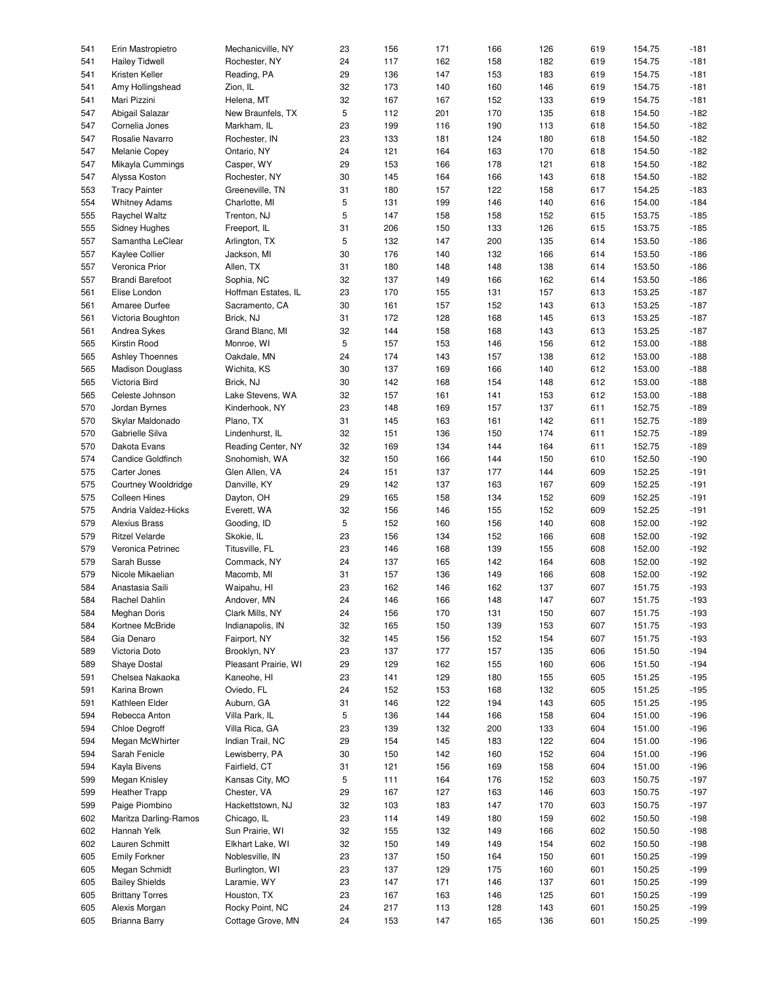| 541 | Erin Mastropietro        | Mechanicville, NY    | 23 | 156 | 171 | 166 | 126 | 619 | 154.75 | $-181$ |
|-----|--------------------------|----------------------|----|-----|-----|-----|-----|-----|--------|--------|
| 541 | <b>Hailey Tidwell</b>    | Rochester, NY        | 24 | 117 | 162 | 158 | 182 | 619 | 154.75 | $-181$ |
| 541 | Kristen Keller           | Reading, PA          | 29 | 136 | 147 | 153 | 183 | 619 | 154.75 | $-181$ |
| 541 | Amy Hollingshead         | Zion, IL             | 32 | 173 | 140 | 160 | 146 | 619 | 154.75 | $-181$ |
|     |                          |                      |    |     |     |     |     |     |        |        |
| 541 | Mari Pizzini             | Helena, MT           | 32 | 167 | 167 | 152 | 133 | 619 | 154.75 | $-181$ |
| 547 | Abigail Salazar          | New Braunfels, TX    | 5  | 112 | 201 | 170 | 135 | 618 | 154.50 | $-182$ |
| 547 | Cornelia Jones           | Markham, IL          | 23 | 199 | 116 | 190 | 113 | 618 | 154.50 | $-182$ |
|     |                          |                      |    |     |     |     |     |     |        |        |
| 547 | Rosalie Navarro          | Rochester, IN        | 23 | 133 | 181 | 124 | 180 | 618 | 154.50 | $-182$ |
| 547 | <b>Melanie Copey</b>     | Ontario, NY          | 24 | 121 | 164 | 163 | 170 | 618 | 154.50 | $-182$ |
| 547 | Mikayla Cummings         | Casper, WY           | 29 | 153 | 166 | 178 | 121 | 618 | 154.50 | $-182$ |
| 547 | Alyssa Koston            | Rochester, NY        | 30 | 145 | 164 | 166 | 143 | 618 | 154.50 | $-182$ |
|     |                          |                      |    |     |     |     |     |     |        |        |
| 553 | <b>Tracy Painter</b>     | Greeneville, TN      | 31 | 180 | 157 | 122 | 158 | 617 | 154.25 | $-183$ |
| 554 | <b>Whitney Adams</b>     | Charlotte, MI        | 5  | 131 | 199 | 146 | 140 | 616 | 154.00 | $-184$ |
| 555 | <b>Raychel Waltz</b>     | Trenton, NJ          | 5  | 147 | 158 | 158 | 152 | 615 | 153.75 | $-185$ |
|     |                          |                      |    |     |     |     |     |     |        |        |
| 555 | <b>Sidney Hughes</b>     | Freeport, IL         | 31 | 206 | 150 | 133 | 126 | 615 | 153.75 | $-185$ |
| 557 | Samantha LeClear         | Arlington, TX        | 5  | 132 | 147 | 200 | 135 | 614 | 153.50 | $-186$ |
| 557 | Kaylee Collier           | Jackson, MI          | 30 | 176 | 140 | 132 | 166 | 614 | 153.50 | $-186$ |
| 557 | Veronica Prior           | Allen, TX            | 31 | 180 | 148 | 148 | 138 | 614 | 153.50 | $-186$ |
|     |                          |                      |    |     |     |     |     |     |        |        |
| 557 | <b>Brandi Barefoot</b>   | Sophia, NC           | 32 | 137 | 149 | 166 | 162 | 614 | 153.50 | $-186$ |
| 561 | Elise London             | Hoffman Estates, IL  | 23 | 170 | 155 | 131 | 157 | 613 | 153.25 | $-187$ |
| 561 | Amaree Durfee            | Sacramento, CA       | 30 | 161 | 157 | 152 | 143 | 613 | 153.25 | $-187$ |
|     |                          |                      |    |     |     |     |     |     |        |        |
| 561 | Victoria Boughton        | Brick, NJ            | 31 | 172 | 128 | 168 | 145 | 613 | 153.25 | $-187$ |
| 561 | Andrea Sykes             | Grand Blanc, MI      | 32 | 144 | 158 | 168 | 143 | 613 | 153.25 | $-187$ |
| 565 | Kirstin Rood             | Monroe, WI           | 5  | 157 | 153 | 146 | 156 | 612 | 153.00 | $-188$ |
| 565 | <b>Ashley Thoennes</b>   | Oakdale, MN          | 24 | 174 | 143 | 157 | 138 | 612 | 153.00 | $-188$ |
|     |                          |                      |    |     |     |     |     |     |        |        |
| 565 | <b>Madison Douglass</b>  | Wichita, KS          | 30 | 137 | 169 | 166 | 140 | 612 | 153.00 | $-188$ |
| 565 | Victoria Bird            | Brick, NJ            | 30 | 142 | 168 | 154 | 148 | 612 | 153.00 | $-188$ |
| 565 | Celeste Johnson          | Lake Stevens, WA     | 32 | 157 | 161 | 141 | 153 | 612 | 153.00 | $-188$ |
|     |                          |                      |    |     |     |     |     |     |        | $-189$ |
| 570 | Jordan Byrnes            | Kinderhook, NY       | 23 | 148 | 169 | 157 | 137 | 611 | 152.75 |        |
| 570 | Skylar Maldonado         | Plano, TX            | 31 | 145 | 163 | 161 | 142 | 611 | 152.75 | $-189$ |
| 570 | Gabrielle Silva          | Lindenhurst, IL      | 32 | 151 | 136 | 150 | 174 | 611 | 152.75 | $-189$ |
| 570 | Dakota Evans             | Reading Center, NY   | 32 | 169 | 134 | 144 | 164 | 611 | 152.75 | $-189$ |
|     |                          |                      |    |     |     |     |     |     |        |        |
| 574 | <b>Candice Goldfinch</b> | Snohomish, WA        | 32 | 150 | 166 | 144 | 150 | 610 | 152.50 | $-190$ |
| 575 | Carter Jones             | Glen Allen, VA       | 24 | 151 | 137 | 177 | 144 | 609 | 152.25 | $-191$ |
| 575 | Courtney Wooldridge      | Danville, KY         | 29 | 142 | 137 | 163 | 167 | 609 | 152.25 | $-191$ |
| 575 | <b>Colleen Hines</b>     |                      | 29 | 165 |     | 134 | 152 | 609 | 152.25 | $-191$ |
|     |                          | Dayton, OH           |    |     | 158 |     |     |     |        |        |
| 575 | Andria Valdez-Hicks      | Everett, WA          | 32 | 156 | 146 | 155 | 152 | 609 | 152.25 | $-191$ |
| 579 | Alexius Brass            | Gooding, ID          | 5  | 152 | 160 | 156 | 140 | 608 | 152.00 | $-192$ |
| 579 | <b>Ritzel Velarde</b>    | Skokie, IL           | 23 | 156 | 134 | 152 | 166 | 608 | 152.00 | $-192$ |
|     |                          |                      |    |     |     |     |     |     |        |        |
| 579 | Veronica Petrinec        | Titusville, FL       | 23 | 146 | 168 | 139 | 155 | 608 | 152.00 | $-192$ |
| 579 | Sarah Busse              | Commack, NY          | 24 | 137 | 165 | 142 | 164 | 608 | 152.00 | $-192$ |
| 579 | Nicole Mikaelian         | Macomb, MI           | 31 | 157 | 136 | 149 | 166 | 608 | 152.00 | $-192$ |
| 584 |                          |                      |    | 162 | 146 | 162 |     | 607 |        | $-193$ |
|     | Anastasia Saili          | Waipahu, HI          | 23 |     |     |     | 137 |     | 151.75 |        |
| 584 | Rachel Dahlin            | Andover, MN          | 24 | 146 | 166 | 148 | 147 | 607 | 151.75 | $-193$ |
| 584 | Meghan Doris             | Clark Mills, NY      | 24 | 156 | 170 | 131 | 150 | 607 | 151.75 | $-193$ |
| 584 | Kortnee McBride          | Indianapolis, IN     | 32 | 165 | 150 | 139 | 153 | 607 | 151.75 | $-193$ |
|     |                          |                      |    |     |     |     |     |     |        |        |
| 584 | Gia Denaro               | Fairport, NY         | 32 | 145 | 156 | 152 | 154 | 607 | 151.75 | $-193$ |
| 589 | Victoria Doto            | Brooklyn, NY         | 23 | 137 | 177 | 157 | 135 | 606 | 151.50 | $-194$ |
| 589 | Shaye Dostal             | Pleasant Prairie, WI | 29 | 129 | 162 | 155 | 160 | 606 | 151.50 | $-194$ |
| 591 | Chelsea Nakaoka          | Kaneohe, HI          | 23 | 141 | 129 | 180 | 155 | 605 | 151.25 | $-195$ |
|     |                          |                      |    |     |     |     |     |     |        |        |
| 591 | Karina Brown             | Oviedo, FL           | 24 | 152 | 153 | 168 | 132 | 605 | 151.25 | $-195$ |
| 591 | Kathleen Elder           | Auburn, GA           | 31 | 146 | 122 | 194 | 143 | 605 | 151.25 | $-195$ |
| 594 | Rebecca Anton            | Villa Park, IL       | 5  | 136 | 144 | 166 | 158 | 604 | 151.00 | $-196$ |
|     |                          |                      |    |     |     |     |     |     |        |        |
| 594 | Chloe Degroff            | Villa Rica, GA       | 23 | 139 | 132 | 200 | 133 | 604 | 151.00 | $-196$ |
| 594 | Megan McWhirter          | Indian Trail, NC     | 29 | 154 | 145 | 183 | 122 | 604 | 151.00 | $-196$ |
| 594 | Sarah Fenicle            | Lewisberry, PA       | 30 | 150 | 142 | 160 | 152 | 604 | 151.00 | $-196$ |
|     | Kayla Bivens             | Fairfield, CT        |    | 121 |     |     |     |     |        | $-196$ |
| 594 |                          |                      | 31 |     | 156 | 169 | 158 | 604 | 151.00 |        |
| 599 | Megan Knisley            | Kansas City, MO      | 5  | 111 | 164 | 176 | 152 | 603 | 150.75 | $-197$ |
| 599 | <b>Heather Trapp</b>     | Chester, VA          | 29 | 167 | 127 | 163 | 146 | 603 | 150.75 | $-197$ |
| 599 | Paige Piombino           | Hackettstown, NJ     | 32 | 103 | 183 | 147 | 170 | 603 | 150.75 | $-197$ |
|     |                          |                      |    |     |     |     |     |     |        |        |
| 602 | Maritza Darling-Ramos    | Chicago, IL          | 23 | 114 | 149 | 180 | 159 | 602 | 150.50 | $-198$ |
| 602 | Hannah Yelk              | Sun Prairie, WI      | 32 | 155 | 132 | 149 | 166 | 602 | 150.50 | $-198$ |
| 602 | Lauren Schmitt           | Elkhart Lake, WI     | 32 | 150 | 149 | 149 | 154 | 602 | 150.50 | $-198$ |
| 605 | <b>Emily Forkner</b>     | Noblesville, IN      | 23 | 137 | 150 | 164 | 150 | 601 | 150.25 | $-199$ |
|     |                          |                      |    |     |     |     |     |     |        |        |
| 605 | Megan Schmidt            | Burlington, WI       | 23 | 137 | 129 | 175 | 160 | 601 | 150.25 | $-199$ |
| 605 | <b>Bailey Shields</b>    | Laramie, WY          | 23 | 147 | 171 | 146 | 137 | 601 | 150.25 | $-199$ |
| 605 | <b>Brittany Torres</b>   | Houston, TX          | 23 | 167 | 163 | 146 | 125 | 601 | 150.25 | $-199$ |
| 605 | Alexis Morgan            | Rocky Point, NC      |    | 217 |     | 128 | 143 |     | 150.25 | $-199$ |
|     |                          |                      | 24 |     | 113 |     |     | 601 |        |        |
| 605 | Brianna Barry            | Cottage Grove, MN    | 24 | 153 | 147 | 165 | 136 | 601 | 150.25 | $-199$ |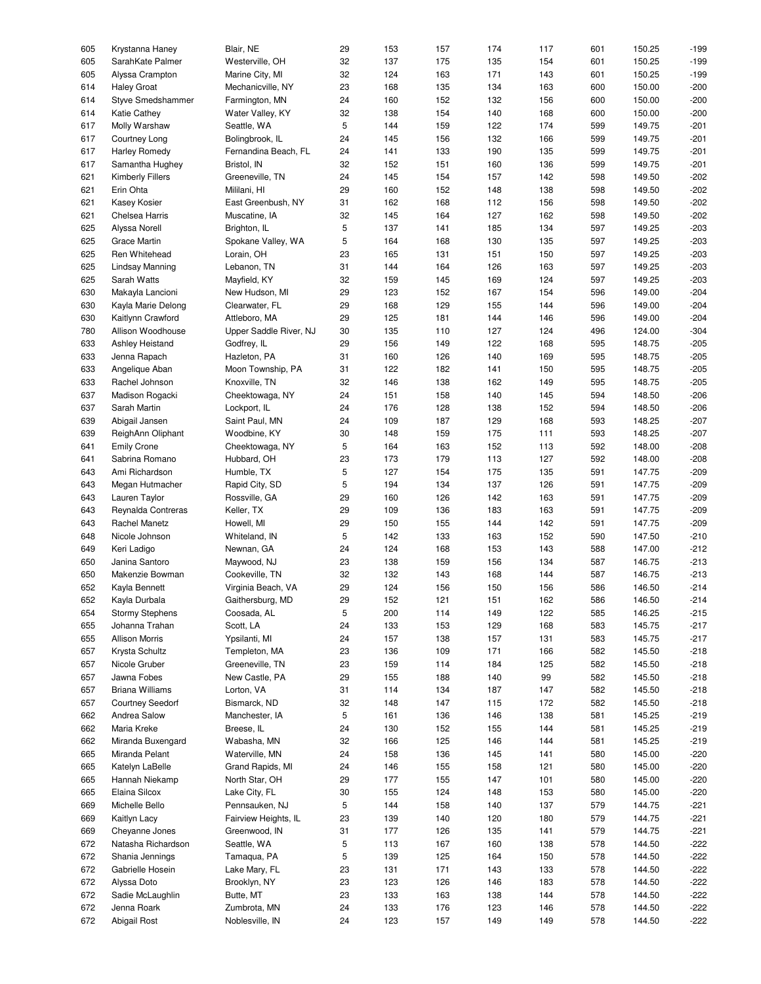| 605 | Krystanna Haney         | Blair, NE              | 29 | 153 | 157 | 174 | 117 | 601 | 150.25 | $-199$ |
|-----|-------------------------|------------------------|----|-----|-----|-----|-----|-----|--------|--------|
| 605 | SarahKate Palmer        | Westerville, OH        | 32 | 137 | 175 | 135 | 154 | 601 | 150.25 | $-199$ |
|     |                         |                        |    |     |     |     |     |     |        |        |
| 605 | Alyssa Crampton         | Marine City, MI        | 32 | 124 | 163 | 171 | 143 | 601 | 150.25 | $-199$ |
| 614 | <b>Haley Groat</b>      | Mechanicville, NY      | 23 | 168 | 135 | 134 | 163 | 600 | 150.00 | $-200$ |
| 614 | Styve Smedshammer       | Farmington, MN         | 24 | 160 | 152 | 132 | 156 | 600 | 150.00 | $-200$ |
| 614 | Katie Cathey            | Water Valley, KY       | 32 | 138 | 154 | 140 | 168 | 600 | 150.00 | $-200$ |
| 617 | Molly Warshaw           | Seattle, WA            | 5  | 144 | 159 | 122 | 174 | 599 | 149.75 | $-201$ |
|     |                         |                        |    |     |     |     |     |     |        |        |
| 617 | Courtney Long           | Bolingbrook, IL        | 24 | 145 | 156 | 132 | 166 | 599 | 149.75 | $-201$ |
| 617 | <b>Harley Romedy</b>    | Fernandina Beach, FL   | 24 | 141 | 133 | 190 | 135 | 599 | 149.75 | $-201$ |
| 617 | Samantha Hughey         | Bristol, IN            | 32 | 152 | 151 | 160 | 136 | 599 | 149.75 | $-201$ |
| 621 | <b>Kimberly Fillers</b> | Greeneville, TN        | 24 | 145 | 154 | 157 | 142 | 598 | 149.50 | $-202$ |
|     |                         |                        |    |     |     |     |     |     |        | $-202$ |
| 621 | Erin Ohta               | Mililani, HI           | 29 | 160 | 152 | 148 | 138 | 598 | 149.50 |        |
| 621 | Kasey Kosier            | East Greenbush, NY     | 31 | 162 | 168 | 112 | 156 | 598 | 149.50 | $-202$ |
| 621 | Chelsea Harris          | Muscatine, IA          | 32 | 145 | 164 | 127 | 162 | 598 | 149.50 | $-202$ |
| 625 | Alyssa Norell           | Brighton, IL           | 5  | 137 | 141 | 185 | 134 | 597 | 149.25 | $-203$ |
| 625 | Grace Martin            |                        | 5  | 164 | 168 | 130 | 135 | 597 | 149.25 | $-203$ |
|     |                         | Spokane Valley, WA     |    |     |     |     |     |     |        |        |
| 625 | Ren Whitehead           | Lorain, OH             | 23 | 165 | 131 | 151 | 150 | 597 | 149.25 | $-203$ |
| 625 | Lindsay Manning         | Lebanon, TN            | 31 | 144 | 164 | 126 | 163 | 597 | 149.25 | $-203$ |
| 625 | Sarah Watts             | Mayfield, KY           | 32 | 159 | 145 | 169 | 124 | 597 | 149.25 | $-203$ |
|     |                         |                        | 29 |     |     |     |     |     | 149.00 | $-204$ |
| 630 | Makayla Lancioni        | New Hudson, MI         |    | 123 | 152 | 167 | 154 | 596 |        |        |
| 630 | Kayla Marie Delong      | Clearwater, FL         | 29 | 168 | 129 | 155 | 144 | 596 | 149.00 | $-204$ |
| 630 | Kaitlynn Crawford       | Attleboro, MA          | 29 | 125 | 181 | 144 | 146 | 596 | 149.00 | $-204$ |
| 780 | Allison Woodhouse       | Upper Saddle River, NJ | 30 | 135 | 110 | 127 | 124 | 496 | 124.00 | $-304$ |
| 633 | Ashley Heistand         | Godfrey, IL            | 29 | 156 | 149 | 122 | 168 | 595 | 148.75 | $-205$ |
|     |                         |                        |    |     |     |     |     |     |        |        |
| 633 | Jenna Rapach            | Hazleton, PA           | 31 | 160 | 126 | 140 | 169 | 595 | 148.75 | $-205$ |
| 633 | Angelique Aban          | Moon Township, PA      | 31 | 122 | 182 | 141 | 150 | 595 | 148.75 | $-205$ |
| 633 | Rachel Johnson          | Knoxville, TN          | 32 | 146 | 138 | 162 | 149 | 595 | 148.75 | $-205$ |
| 637 | Madison Rogacki         | Cheektowaga, NY        | 24 | 151 | 158 | 140 | 145 | 594 | 148.50 | $-206$ |
|     |                         |                        |    |     |     |     |     |     |        |        |
| 637 | Sarah Martin            | Lockport, IL           | 24 | 176 | 128 | 138 | 152 | 594 | 148.50 | $-206$ |
| 639 | Abigail Jansen          | Saint Paul, MN         | 24 | 109 | 187 | 129 | 168 | 593 | 148.25 | $-207$ |
| 639 | ReighAnn Oliphant       | Woodbine, KY           | 30 | 148 | 159 | 175 | 111 | 593 | 148.25 | $-207$ |
| 641 | <b>Emily Crone</b>      | Cheektowaga, NY        | 5  | 164 | 163 | 152 | 113 | 592 | 148.00 | $-208$ |
|     |                         |                        |    |     |     |     |     |     |        |        |
| 641 | Sabrina Romano          | Hubbard, OH            | 23 | 173 | 179 | 113 | 127 | 592 | 148.00 | $-208$ |
| 643 | Ami Richardson          | Humble, TX             | 5  | 127 | 154 | 175 | 135 | 591 | 147.75 | $-209$ |
| 643 | Megan Hutmacher         | Rapid City, SD         | 5  | 194 | 134 | 137 | 126 | 591 | 147.75 | $-209$ |
| 643 | Lauren Taylor           | Rossville, GA          | 29 | 160 | 126 | 142 | 163 | 591 | 147.75 | $-209$ |
| 643 | Reynalda Contreras      | Keller, TX             | 29 | 109 | 136 | 183 | 163 | 591 | 147.75 | $-209$ |
|     |                         |                        |    |     |     |     |     |     |        |        |
| 643 | Rachel Manetz           | Howell, MI             | 29 | 150 | 155 | 144 | 142 | 591 | 147.75 | $-209$ |
| 648 | Nicole Johnson          | Whiteland, IN          | 5  | 142 | 133 | 163 | 152 | 590 | 147.50 | $-210$ |
| 649 | Keri Ladigo             | Newnan, GA             | 24 | 124 | 168 | 153 | 143 | 588 | 147.00 | $-212$ |
| 650 | Janina Santoro          | Maywood, NJ            | 23 | 138 | 159 | 156 | 134 | 587 | 146.75 | $-213$ |
|     |                         |                        |    |     |     |     |     |     |        |        |
| 650 | Makenzie Bowman         | Cookeville, TN         | 32 | 132 | 143 | 168 | 144 | 587 | 146.75 | $-213$ |
| 652 | Kayla Bennett           | Virginia Beach, VA     | 29 | 124 | 156 | 150 | 156 | 586 | 146.50 | $-214$ |
| 652 | Kayla Durbala           | Gaithersburg, MD       | 29 | 152 | 121 | 151 | 162 | 586 | 146.50 | $-214$ |
| 654 | <b>Stormy Stephens</b>  | Coosada, AL            | 5  | 200 | 114 | 149 | 122 | 585 | 146.25 | $-215$ |
|     |                         |                        |    |     |     |     |     |     |        |        |
| 655 | Johanna Trahan          | Scott, LA              | 24 | 133 | 153 | 129 | 168 | 583 | 145.75 | $-217$ |
| 655 | <b>Allison Morris</b>   | Ypsilanti, MI          | 24 | 157 | 138 | 157 | 131 | 583 | 145.75 | $-217$ |
| 657 | Krysta Schultz          | Templeton, MA          | 23 | 136 | 109 | 171 | 166 | 582 | 145.50 | $-218$ |
| 657 | Nicole Gruber           | Greeneville, TN        | 23 | 159 | 114 | 184 | 125 | 582 | 145.50 | $-218$ |
|     |                         |                        |    |     |     |     |     |     |        |        |
| 657 | Jawna Fobes             | New Castle, PA         | 29 | 155 | 188 | 140 | 99  | 582 | 145.50 | $-218$ |
| 657 | <b>Briana Williams</b>  | Lorton, VA             | 31 | 114 | 134 | 187 | 147 | 582 | 145.50 | $-218$ |
| 657 | <b>Courtney Seedorf</b> | Bismarck, ND           | 32 | 148 | 147 | 115 | 172 | 582 | 145.50 | $-218$ |
| 662 | Andrea Salow            | Manchester, IA         | 5  | 161 | 136 | 146 | 138 | 581 | 145.25 | $-219$ |
|     | Maria Kreke             |                        |    |     |     |     | 144 |     | 145.25 | $-219$ |
| 662 |                         | Breese, IL             | 24 | 130 | 152 | 155 |     | 581 |        |        |
| 662 | Miranda Buxengard       | Wabasha, MN            | 32 | 166 | 125 | 146 | 144 | 581 | 145.25 | $-219$ |
| 665 | Miranda Pelant          | Waterville, MN         | 24 | 158 | 136 | 145 | 141 | 580 | 145.00 | $-220$ |
| 665 | Katelyn LaBelle         | Grand Rapids, MI       | 24 | 146 | 155 | 158 | 121 | 580 | 145.00 | $-220$ |
| 665 | Hannah Niekamp          | North Star, OH         | 29 | 177 | 155 | 147 | 101 | 580 | 145.00 | $-220$ |
|     |                         |                        |    |     |     |     |     |     |        |        |
| 665 | Elaina Silcox           | Lake City, FL          | 30 | 155 | 124 | 148 | 153 | 580 | 145.00 | $-220$ |
| 669 | Michelle Bello          | Pennsauken, NJ         | 5  | 144 | 158 | 140 | 137 | 579 | 144.75 | $-221$ |
| 669 | Kaitlyn Lacy            | Fairview Heights, IL   | 23 | 139 | 140 | 120 | 180 | 579 | 144.75 | $-221$ |
| 669 | Cheyanne Jones          | Greenwood, IN          | 31 | 177 | 126 | 135 | 141 | 579 | 144.75 | $-221$ |
|     |                         |                        |    |     |     |     |     |     |        |        |
| 672 | Natasha Richardson      | Seattle, WA            | 5  | 113 | 167 | 160 | 138 | 578 | 144.50 | $-222$ |
| 672 | Shania Jennings         | Tamaqua, PA            | 5  | 139 | 125 | 164 | 150 | 578 | 144.50 | $-222$ |
| 672 | Gabrielle Hosein        | Lake Mary, FL          | 23 | 131 | 171 | 143 | 133 | 578 | 144.50 | $-222$ |
| 672 | Alyssa Doto             | Brooklyn, NY           | 23 | 123 | 126 | 146 | 183 | 578 | 144.50 | $-222$ |
|     |                         |                        |    |     |     |     |     |     |        |        |
| 672 | Sadie McLaughlin        | Butte, MT              | 23 | 133 | 163 | 138 | 144 | 578 | 144.50 | $-222$ |
| 672 | Jenna Roark             | Zumbrota, MN           | 24 | 133 | 176 | 123 | 146 | 578 | 144.50 | $-222$ |
| 672 | Abigail Rost            | Noblesville, IN        | 24 | 123 | 157 | 149 | 149 | 578 | 144.50 | $-222$ |
|     |                         |                        |    |     |     |     |     |     |        |        |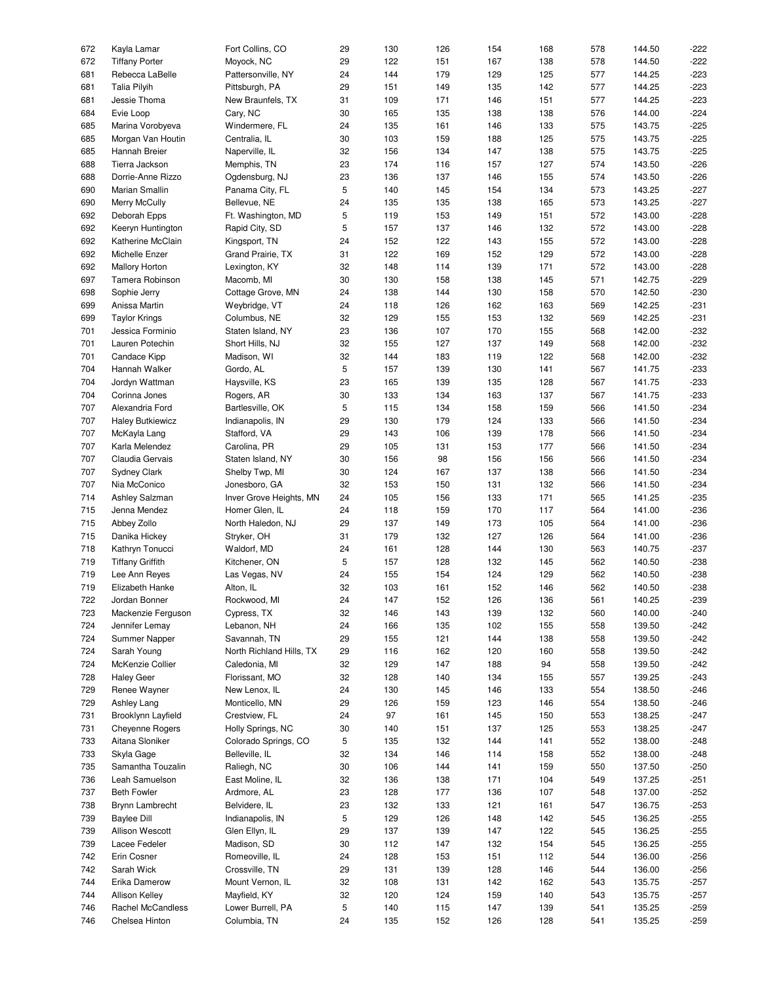| 672 |            | Kayla Lamar                         | Fort Collins, CO                  | 29      | 130        | 126        | 154        | 168        | 578        | 144.50           | $-222$           |
|-----|------------|-------------------------------------|-----------------------------------|---------|------------|------------|------------|------------|------------|------------------|------------------|
|     | 672        |                                     |                                   |         |            |            |            |            |            |                  |                  |
|     |            | <b>Tiffany Porter</b>               | Moyock, NC                        | 29      | 122        | 151        | 167        | 138        | 578        | 144.50           | $-222$           |
|     | 681        | Rebecca LaBelle                     | Pattersonville, NY                | 24      | 144        | 179        | 129        | 125        | 577        | 144.25           | $-223$           |
|     | 681        | <b>Talia Pilyih</b>                 | Pittsburgh, PA                    | 29      | 151        | 149        | 135        | 142        | 577        | 144.25           | $-223$           |
|     | 681        | Jessie Thoma                        | New Braunfels, TX                 | 31      | 109        | 171        | 146        | 151        | 577        | 144.25           | $-223$           |
|     |            |                                     |                                   |         |            |            |            |            |            |                  |                  |
|     | 684        | Evie Loop                           | Cary, NC                          | 30      | 165        | 135        | 138        | 138        | 576        | 144.00           | $-224$           |
|     | 685        | Marina Vorobyeva                    | Windermere, FL                    | 24      | 135        | 161        | 146        | 133        | 575        | 143.75           | $-225$           |
|     | 685        | Morgan Van Houtin                   | Centralia, IL                     | 30      | 103        | 159        | 188        | 125        | 575        | 143.75           | $-225$           |
|     |            |                                     |                                   |         |            |            |            |            |            |                  | $-225$           |
|     | 685        | Hannah Breier                       | Naperville, IL                    | 32      | 156        | 134        | 147        | 138        | 575        | 143.75           |                  |
|     | 688        | Tierra Jackson                      | Memphis, TN                       | 23      | 174        | 116        | 157        | 127        | 574        | 143.50           | $-226$           |
|     | 688        | Dorrie-Anne Rizzo                   | Ogdensburg, NJ                    | 23      | 136        | 137        | 146        | 155        | 574        | 143.50           | $-226$           |
|     | 690        | Marian Smallin                      | Panama City, FL                   | 5       | 140        | 145        | 154        | 134        | 573        | 143.25           | $-227$           |
|     |            |                                     |                                   |         |            |            |            |            |            |                  |                  |
|     | 690        | Merry McCully                       | Bellevue, NE                      | 24      | 135        | 135        | 138        | 165        | 573        | 143.25           | $-227$           |
|     | 692        | Deborah Epps                        | Ft. Washington, MD                | 5       | 119        | 153        | 149        | 151        | 572        | 143.00           | $-228$           |
|     | 692        | Keeryn Huntington                   | Rapid City, SD                    | 5       | 157        | 137        | 146        | 132        | 572        | 143.00           | $-228$           |
|     |            |                                     |                                   |         |            |            |            |            |            |                  |                  |
|     | 692        | Katherine McClain                   | Kingsport, TN                     | 24      | 152        | 122        | 143        | 155        | 572        | 143.00           | $-228$           |
|     | 692        | Michelle Enzer                      | Grand Prairie, TX                 | 31      | 122        | 169        | 152        | 129        | 572        | 143.00           | $-228$           |
|     | 692        | <b>Mallory Horton</b>               | Lexington, KY                     | 32      | 148        | 114        | 139        | 171        | 572        | 143.00           | $-228$           |
|     | 697        | Tamera Robinson                     | Macomb, MI                        | 30      | 130        | 158        | 138        | 145        | 571        | 142.75           | $-229$           |
|     |            |                                     |                                   |         |            |            |            |            |            |                  |                  |
|     | 698        | Sophie Jerry                        | Cottage Grove, MN                 | 24      | 138        | 144        | 130        | 158        | 570        | 142.50           | $-230$           |
|     | 699        | Anissa Martin                       | Weybridge, VT                     | 24      | 118        | 126        | 162        | 163        | 569        | 142.25           | $-231$           |
|     | 699        | <b>Taylor Krings</b>                | Columbus, NE                      | 32      | 129        | 155        | 153        | 132        | 569        | 142.25           | $-231$           |
|     |            |                                     |                                   |         |            |            |            |            |            |                  |                  |
|     | 701        | Jessica Forminio                    | Staten Island, NY                 | 23      | 136        | 107        | 170        | 155        | 568        | 142.00           | $-232$           |
|     | 701        | Lauren Potechin                     | Short Hills, NJ                   | 32      | 155        | 127        | 137        | 149        | 568        | 142.00           | $-232$           |
|     | 701        | <b>Candace Kipp</b>                 | Madison, WI                       | 32      | 144        | 183        | 119        | 122        | 568        | 142.00           | $-232$           |
|     |            |                                     |                                   | 5       |            |            |            |            |            |                  |                  |
|     | 704        | Hannah Walker                       | Gordo, AL                         |         | 157        | 139        | 130        | 141        | 567        | 141.75           | $-233$           |
|     | 704        | Jordyn Wattman                      | Haysville, KS                     | 23      | 165        | 139        | 135        | 128        | 567        | 141.75           | $-233$           |
|     | 704        | Corinna Jones                       | Rogers, AR                        | 30      | 133        | 134        | 163        | 137        | 567        | 141.75           | $-233$           |
|     | 707        | Alexandria Ford                     | Bartlesville, OK                  | 5       | 115        | 134        | 158        | 159        | 566        | 141.50           | $-234$           |
|     |            |                                     |                                   |         |            |            |            |            |            |                  |                  |
|     | 707        | <b>Haley Butkiewicz</b>             | Indianapolis, IN                  | 29      | 130        | 179        | 124        | 133        | 566        | 141.50           | $-234$           |
|     | 707        | McKayla Lang                        | Stafford, VA                      | 29      | 143        | 106        | 139        | 178        | 566        | 141.50           | $-234$           |
|     | 707        | Karla Melendez                      | Carolina, PR                      | 29      | 105        | 131        | 153        | 177        | 566        | 141.50           | $-234$           |
|     |            |                                     |                                   |         |            |            |            |            |            |                  |                  |
|     | 707        | Claudia Gervais                     | Staten Island, NY                 | 30      | 156        | 98         | 156        | 156        | 566        | 141.50           | $-234$           |
|     | 707        | <b>Sydney Clark</b>                 | Shelby Twp, MI                    | 30      | 124        | 167        | 137        | 138        | 566        | 141.50           | $-234$           |
|     | 707        | Nia McConico                        | Jonesboro, GA                     | 32      | 153        | 150        | 131        | 132        | 566        | 141.50           | $-234$           |
|     |            | Ashley Salzman                      | Inver Grove Heights, MN           | 24      | 105        | 156        | 133        | 171        | 565        | 141.25           | $-235$           |
|     |            |                                     |                                   |         |            |            |            |            |            |                  |                  |
| 714 |            |                                     |                                   |         |            |            |            |            |            |                  |                  |
|     | 715        | Jenna Mendez                        | Homer Glen, IL                    | 24      | 118        | 159        | 170        | 117        | 564        | 141.00           | $-236$           |
|     | 715        | Abbey Zollo                         | North Haledon, NJ                 | 29      | 137        | 149        | 173        | 105        | 564        | 141.00           | $-236$           |
|     |            |                                     |                                   |         |            |            |            |            |            |                  |                  |
|     | 715        | Danika Hickey                       | Stryker, OH                       | 31      | 179        | 132        | 127        | 126        | 564        | 141.00           | $-236$           |
|     | 718        | Kathryn Tonucci                     | Waldorf, MD                       | 24      | 161        | 128        | 144        | 130        | 563        | 140.75           | $-237$           |
|     | 719        | <b>Tiffany Griffith</b>             | Kitchener, ON                     | 5       | 157        | 128        | 132        | 145        | 562        | 140.50           | $-238$           |
|     |            |                                     |                                   |         |            |            |            |            |            |                  |                  |
|     | 719        | Lee Ann Reyes                       | Las Vegas, NV                     | 24      | 155        | 154        | 124        | 129        | 562        | 140.50           | $-238$           |
|     | 719        | Elizabeth Hanke                     | Alton, IL                         | 32      | 103        | 161        | 152        | 146        | 562        | 140.50           | $-238$           |
|     | 722        | Jordan Bonner                       | Rockwood, MI                      | 24      | 147        | 152        | 126        | 136        | 561        | 140.25           | $-239$           |
|     | 723        | Mackenzie Ferguson                  |                                   | 32      | 146        | 143        | 139        | 132        | 560        | 140.00           | $-240$           |
|     |            |                                     | Cypress, TX                       |         |            |            |            |            |            |                  |                  |
|     | 724        | Jennifer Lemay                      | Lebanon, NH                       | 24      | 166        | 135        | 102        | 155        | 558        | 139.50           | -242             |
|     | 724        | Summer Napper                       | Savannah, TN                      | 29      | 155        | 121        | 144        | 138        | 558        | 139.50           | $-242$           |
|     | 724        | Sarah Young                         | North Richland Hills, TX          | 29      | 116        | 162        | 120        | 160        | 558        | 139.50           | $-242$           |
|     |            |                                     |                                   |         |            |            |            |            |            |                  |                  |
|     | 724        | McKenzie Collier                    | Caledonia, MI                     | 32      | 129        | 147        | 188        | 94         | 558        | 139.50           | $-242$           |
|     | 728        | <b>Haley Geer</b>                   | Florissant, MO                    | 32      | 128        | 140        | 134        | 155        | 557        | 139.25           | $-243$           |
|     | 729        | Renee Wayner                        | New Lenox, IL                     | 24      | 130        | 145        | 146        | 133        | 554        | 138.50           | $-246$           |
|     | 729        | Ashley Lang                         | Monticello, MN                    | 29      | 126        | 159        | 123        | 146        | 554        | 138.50           | $-246$           |
|     |            |                                     |                                   |         |            |            |            |            |            |                  |                  |
|     | 731        | Brooklynn Layfield                  | Crestview, FL                     | 24      | 97         | 161        | 145        | 150        | 553        | 138.25           | $-247$           |
|     | 731        | <b>Cheyenne Rogers</b>              | Holly Springs, NC                 | 30      | 140        | 151        | 137        | 125        | 553        | 138.25           | -247             |
|     | 733        | Aitana Sloniker                     | Colorado Springs, CO              | 5       | 135        | 132        | 144        | 141        | 552        | 138.00           | $-248$           |
|     |            |                                     |                                   |         |            |            |            |            |            |                  |                  |
|     | 733        | Skyla Gage                          | Belleville, IL                    | 32      | 134        | 146        | 114        | 158        | 552        | 138.00           | $-248$           |
|     | 735        | Samantha Touzalin                   | Raliegh, NC                       | 30      | 106        | 144        | 141        | 159        | 550        | 137.50           | $-250$           |
|     | 736        | Leah Samuelson                      | East Moline, IL                   | 32      | 136        | 138        | 171        | 104        | 549        | 137.25           | -251             |
|     | 737        | <b>Beth Fowler</b>                  | Ardmore, AL                       | 23      | 128        | 177        | 136        | 107        | 548        | 137.00           | $-252$           |
|     |            |                                     |                                   |         |            |            |            |            |            |                  |                  |
|     | 738        | Brynn Lambrecht                     | Belvidere, IL                     | 23      | 132        | 133        | 121        | 161        | 547        | 136.75           | $-253$           |
|     | 739        | <b>Baylee Dill</b>                  | Indianapolis, IN                  | 5       | 129        | 126        | 148        | 142        | 545        | 136.25           | $-255$           |
|     | 739        | Allison Wescott                     | Glen Ellyn, IL                    | 29      | 137        | 139        | 147        | 122        | 545        | 136.25           | $-255$           |
|     |            |                                     |                                   |         |            |            |            |            |            |                  |                  |
|     | 739        | Lacee Fedeler                       | Madison, SD                       | 30      | 112        | 147        | 132        | 154        | 545        | 136.25           | $-255$           |
|     | 742        | Erin Cosner                         | Romeoville, IL                    | 24      | 128        | 153        | 151        | 112        | 544        | 136.00           | $-256$           |
|     | 742        | Sarah Wick                          | Crossville, TN                    | 29      | 131        | 139        | 128        | 146        | 544        | 136.00           | -256             |
|     | 744        | Erika Damerow                       | Mount Vernon, IL                  | 32      | 108        | 131        | 142        | 162        | 543        | 135.75           | $-257$           |
|     |            |                                     |                                   |         |            |            |            |            |            |                  |                  |
|     | 744        | <b>Allison Kelley</b>               | Mayfield, KY                      | 32      | 120        | 124        | 159        | 140        | 543        | 135.75           | $-257$           |
|     | 746<br>746 | Rachel McCandless<br>Chelsea Hinton | Lower Burrell, PA<br>Columbia, TN | 5<br>24 | 140<br>135 | 115<br>152 | 147<br>126 | 139<br>128 | 541<br>541 | 135.25<br>135.25 | $-259$<br>$-259$ |